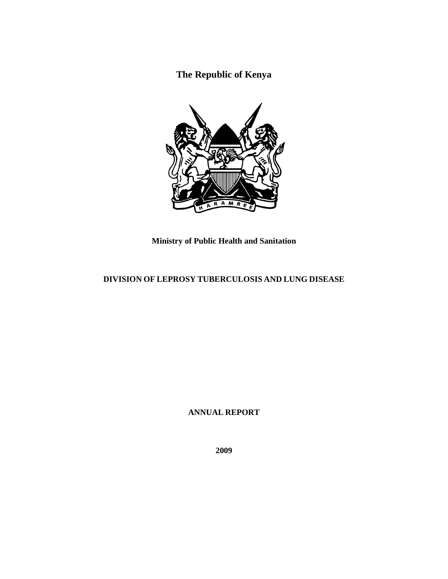**The Republic of Kenya** 



**Ministry of Public Health and Sanitation** 

# **DIVISION OF LEPROSY TUBERCULOSIS AND LUNG DISEASE**

**ANNUAL REPORT** 

**2009**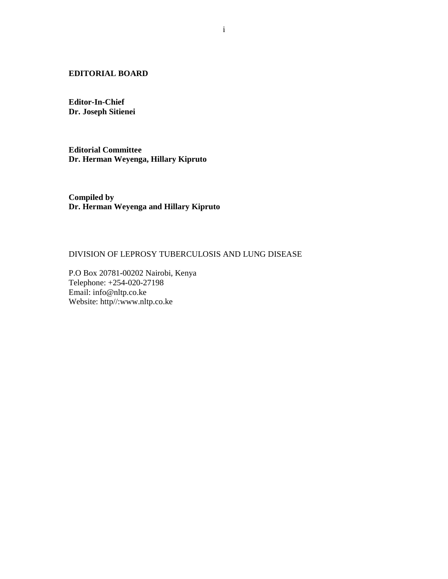### **EDITORIAL BOARD**

**Editor-In-Chief Dr. Joseph Sitienei** 

**Editorial Committee Dr. Herman Weyenga, Hillary Kipruto** 

**Compiled by Dr. Herman Weyenga and Hillary Kipruto** 

### DIVISION OF LEPROSY TUBERCULOSIS AND LUNG DISEASE

P.O Box 20781-00202 Nairobi, Kenya Telephone: +254-020-27198 Email: info@nltp.co.ke Website: http//:www.nltp.co.ke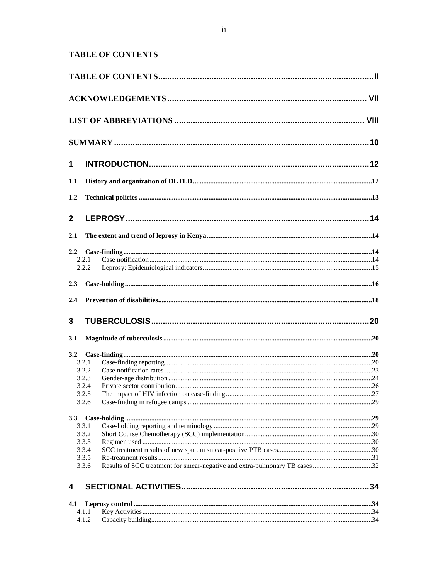# **TABLE OF CONTENTS**

| 1            |                |  |
|--------------|----------------|--|
| 1.1          |                |  |
| 1.2          |                |  |
| $\mathbf{2}$ |                |  |
| 2.1          |                |  |
|              |                |  |
|              | 2.2.1          |  |
|              | 2.2.2          |  |
|              |                |  |
| 2.3          |                |  |
| 2.4          |                |  |
| 3            |                |  |
| 3.1          |                |  |
| 3.2          |                |  |
|              | 3.2.1          |  |
|              | 3.2.2          |  |
|              | 3.2.3          |  |
|              | 3.2.4          |  |
|              | 3.2.5          |  |
|              | 3.2.6          |  |
| 3.3          |                |  |
|              | 3.3.1          |  |
|              | 3.3.2          |  |
|              | 3.3.3          |  |
|              | 3.3.4          |  |
|              | 3.3.5<br>3.3.6 |  |
|              |                |  |
| 4            |                |  |
| 4.1          |                |  |
|              | 4.1.1          |  |
|              | 4.1.2          |  |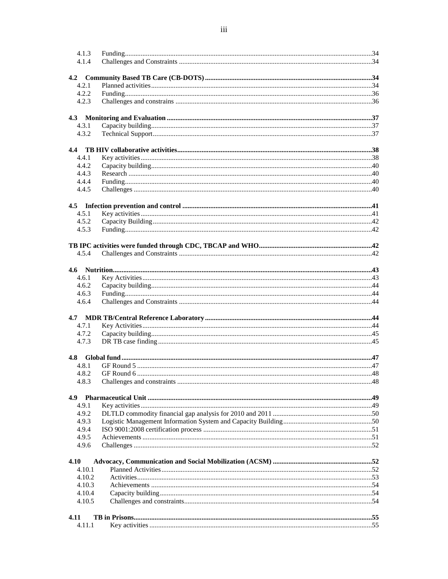| 4.1.3<br>4.1.4 |                    |  |
|----------------|--------------------|--|
|                |                    |  |
| 4.2.1          |                    |  |
| 4.2.2          |                    |  |
|                |                    |  |
| 4.2.3          |                    |  |
| 4.3.1          |                    |  |
| 4.3.2          |                    |  |
|                |                    |  |
|                |                    |  |
| 4.4.1          |                    |  |
| 4.4.2          |                    |  |
| 4.4.3          |                    |  |
| 4.4.4          |                    |  |
| 4.4.5          |                    |  |
|                |                    |  |
| 4.5.1          |                    |  |
| 4.5.2          |                    |  |
| 4.5.3          |                    |  |
|                |                    |  |
| 4.5.4          |                    |  |
|                |                    |  |
| 4.6.1          |                    |  |
| 4.6.2          |                    |  |
| 4.6.3          |                    |  |
| 4.6.4          |                    |  |
|                |                    |  |
| 4.7.1          |                    |  |
| 4.7.2          |                    |  |
| 4.7.3          |                    |  |
|                |                    |  |
| 4.8.1          |                    |  |
|                | $4.8.2$ GF Round 6 |  |
| 4.8.3          |                    |  |
|                |                    |  |
|                |                    |  |
| 4.9.1          |                    |  |
| 4.9.2          |                    |  |
| 4.9.3          |                    |  |
| 4.9.4          |                    |  |
| 4.9.5<br>4.9.6 |                    |  |
|                |                    |  |
| 4.10           |                    |  |
| 4.10.1         |                    |  |
| 4.10.2         |                    |  |
| 4.10.3         |                    |  |
| 4.10.4         |                    |  |
| 4.10.5         |                    |  |
| 4.11           |                    |  |
| 4.11.1         |                    |  |
|                |                    |  |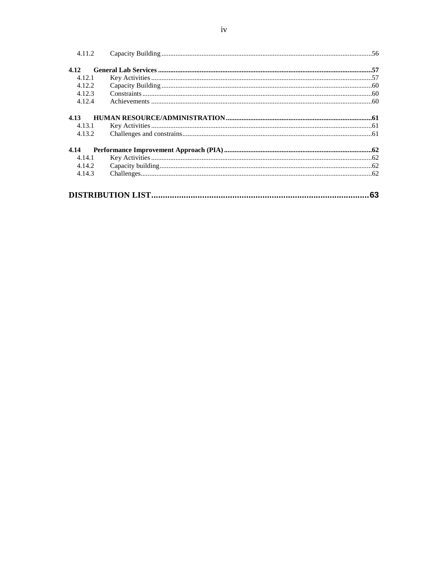| 4.11.2 |     |
|--------|-----|
| 4.12   |     |
| 4.12.1 |     |
| 4.12.2 |     |
| 4.12.3 |     |
| 4.12.4 |     |
| 4.13   |     |
| 4.13.1 |     |
| 4.13.2 |     |
| 4.14   |     |
| 4.14.1 |     |
| 4.14.2 |     |
| 4.14.3 |     |
|        | .63 |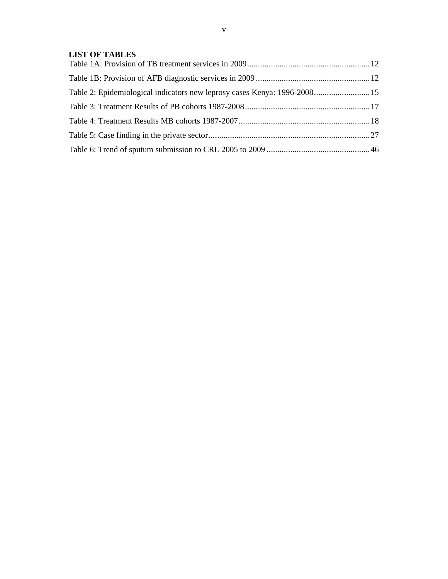## **LIST OF TABLES**

| Table 2: Epidemiological indicators new leprosy cases Kenya: 1996-2008 15 |  |
|---------------------------------------------------------------------------|--|
|                                                                           |  |
|                                                                           |  |
|                                                                           |  |
|                                                                           |  |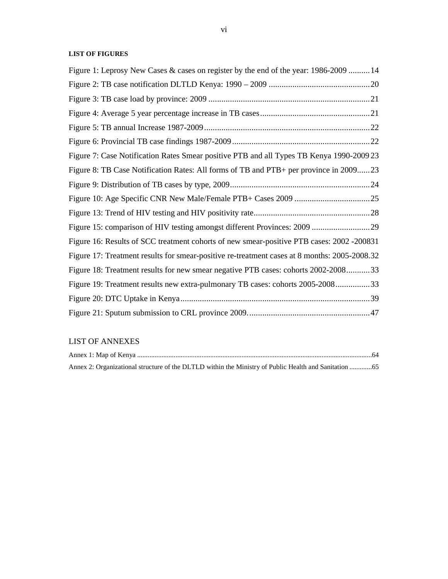### **LIST OF FIGURES**

| Figure 1: Leprosy New Cases & cases on register by the end of the year: 1986-2009  14        |  |
|----------------------------------------------------------------------------------------------|--|
|                                                                                              |  |
|                                                                                              |  |
|                                                                                              |  |
|                                                                                              |  |
|                                                                                              |  |
| Figure 7: Case Notification Rates Smear positive PTB and all Types TB Kenya 1990-2009 23     |  |
| Figure 8: TB Case Notification Rates: All forms of TB and PTB+ per province in 200923        |  |
|                                                                                              |  |
|                                                                                              |  |
|                                                                                              |  |
| Figure 15: comparison of HIV testing amongst different Provinces: 2009 29                    |  |
| Figure 16: Results of SCC treatment cohorts of new smear-positive PTB cases: 2002 -200831    |  |
| Figure 17: Treatment results for smear-positive re-treatment cases at 8 months: 2005-2008.32 |  |
| Figure 18: Treatment results for new smear negative PTB cases: cohorts 2002-200833           |  |
| Figure 19: Treatment results new extra-pulmonary TB cases: cohorts 2005-200833               |  |
|                                                                                              |  |
|                                                                                              |  |
|                                                                                              |  |

## LIST OF ANNEXES

| Annex 2: Organizational structure of the DLTLD within the Ministry of Public Health and Sanitation 65 |  |
|-------------------------------------------------------------------------------------------------------|--|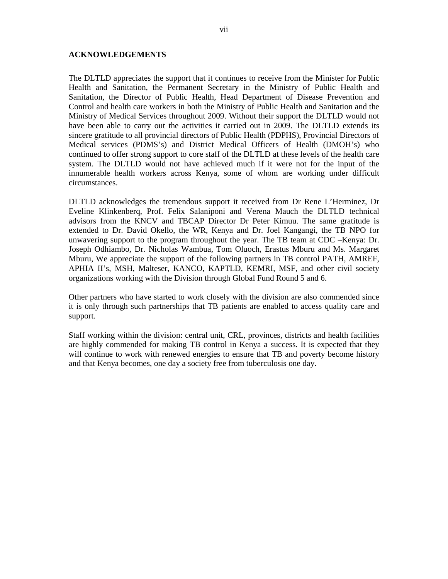#### **ACKNOWLEDGEMENTS**

The DLTLD appreciates the support that it continues to receive from the Minister for Public Health and Sanitation, the Permanent Secretary in the Ministry of Public Health and Sanitation, the Director of Public Health, Head Department of Disease Prevention and Control and health care workers in both the Ministry of Public Health and Sanitation and the Ministry of Medical Services throughout 2009. Without their support the DLTLD would not have been able to carry out the activities it carried out in 2009. The DLTLD extends its sincere gratitude to all provincial directors of Public Health (PDPHS), Provincial Directors of Medical services (PDMS's) and District Medical Officers of Health (DMOH's) who continued to offer strong support to core staff of the DLTLD at these levels of the health care system. The DLTLD would not have achieved much if it were not for the input of the innumerable health workers across Kenya, some of whom are working under difficult circumstances.

DLTLD acknowledges the tremendous support it received from Dr Rene L'Herminez, Dr Eveline Klinkenberq, Prof. Felix Salaniponi and Verena Mauch the DLTLD technical advisors from the KNCV and TBCAP Director Dr Peter Kimuu. The same gratitude is extended to Dr. David Okello, the WR, Kenya and Dr. Joel Kangangi, the TB NPO for unwavering support to the program throughout the year. The TB team at CDC –Kenya: Dr. Joseph Odhiambo, Dr. Nicholas Wambua, Tom Oluoch, Erastus Mburu and Ms. Margaret Mburu, We appreciate the support of the following partners in TB control PATH, AMREF, APHIA II's, MSH, Malteser, KANCO, KAPTLD, KEMRI, MSF, and other civil society organizations working with the Division through Global Fund Round 5 and 6.

Other partners who have started to work closely with the division are also commended since it is only through such partnerships that TB patients are enabled to access quality care and support.

Staff working within the division: central unit, CRL, provinces, districts and health facilities are highly commended for making TB control in Kenya a success. It is expected that they will continue to work with renewed energies to ensure that TB and poverty become history and that Kenya becomes, one day a society free from tuberculosis one day.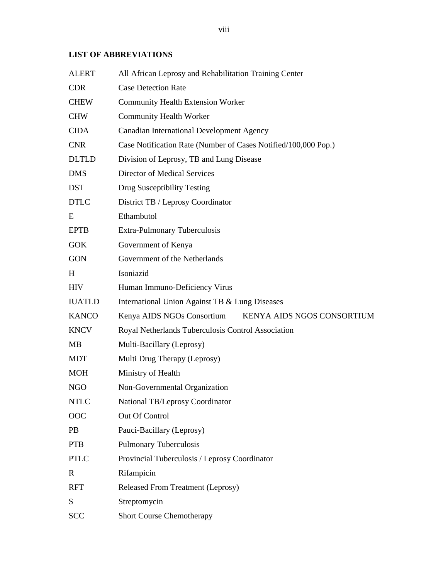# **LIST OF ABBREVIATIONS**

| <b>ALERT</b>  | All African Leprosy and Rehabilitation Training Center         |  |  |  |  |  |  |  |  |
|---------------|----------------------------------------------------------------|--|--|--|--|--|--|--|--|
| <b>CDR</b>    | <b>Case Detection Rate</b>                                     |  |  |  |  |  |  |  |  |
| <b>CHEW</b>   | <b>Community Health Extension Worker</b>                       |  |  |  |  |  |  |  |  |
| <b>CHW</b>    | <b>Community Health Worker</b>                                 |  |  |  |  |  |  |  |  |
| <b>CIDA</b>   | <b>Canadian International Development Agency</b>               |  |  |  |  |  |  |  |  |
| <b>CNR</b>    | Case Notification Rate (Number of Cases Notified/100,000 Pop.) |  |  |  |  |  |  |  |  |
| <b>DLTLD</b>  | Division of Leprosy, TB and Lung Disease                       |  |  |  |  |  |  |  |  |
| <b>DMS</b>    | Director of Medical Services                                   |  |  |  |  |  |  |  |  |
| <b>DST</b>    | Drug Susceptibility Testing                                    |  |  |  |  |  |  |  |  |
| <b>DTLC</b>   | District TB / Leprosy Coordinator                              |  |  |  |  |  |  |  |  |
| E             | Ethambutol                                                     |  |  |  |  |  |  |  |  |
| <b>EPTB</b>   | Extra-Pulmonary Tuberculosis                                   |  |  |  |  |  |  |  |  |
| <b>GOK</b>    | Government of Kenya                                            |  |  |  |  |  |  |  |  |
| <b>GON</b>    | Government of the Netherlands                                  |  |  |  |  |  |  |  |  |
| H             | Isoniazid                                                      |  |  |  |  |  |  |  |  |
| <b>HIV</b>    | Human Immuno-Deficiency Virus                                  |  |  |  |  |  |  |  |  |
| <b>IUATLD</b> | International Union Against TB & Lung Diseases                 |  |  |  |  |  |  |  |  |
| <b>KANCO</b>  | Kenya AIDS NGOs Consortium<br>KENYA AIDS NGOS CONSORTIUM       |  |  |  |  |  |  |  |  |
| <b>KNCV</b>   | Royal Netherlands Tuberculosis Control Association             |  |  |  |  |  |  |  |  |
| МB            | Multi-Bacillary (Leprosy)                                      |  |  |  |  |  |  |  |  |
| <b>MDT</b>    | Multi Drug Therapy (Leprosy)                                   |  |  |  |  |  |  |  |  |
| <b>MOH</b>    | Ministry of Health                                             |  |  |  |  |  |  |  |  |
| <b>NGO</b>    | Non-Governmental Organization                                  |  |  |  |  |  |  |  |  |
| <b>NTLC</b>   | National TB/Leprosy Coordinator                                |  |  |  |  |  |  |  |  |
| OOC           | Out Of Control                                                 |  |  |  |  |  |  |  |  |
| <b>PB</b>     | Pauci-Bacillary (Leprosy)                                      |  |  |  |  |  |  |  |  |
| <b>PTB</b>    | <b>Pulmonary Tuberculosis</b>                                  |  |  |  |  |  |  |  |  |
| <b>PTLC</b>   | Provincial Tuberculosis / Leprosy Coordinator                  |  |  |  |  |  |  |  |  |
| $\mathbb{R}$  | Rifampicin                                                     |  |  |  |  |  |  |  |  |
| <b>RFT</b>    | <b>Released From Treatment (Leprosy)</b>                       |  |  |  |  |  |  |  |  |
| S             | Streptomycin                                                   |  |  |  |  |  |  |  |  |
| <b>SCC</b>    | <b>Short Course Chemotherapy</b>                               |  |  |  |  |  |  |  |  |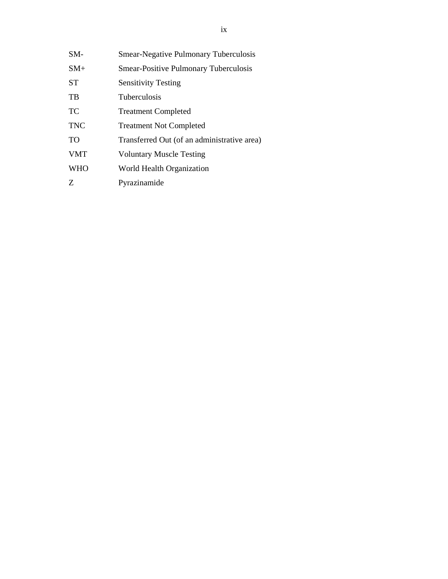| $SM-$      | <b>Smear-Negative Pulmonary Tuberculosis</b> |
|------------|----------------------------------------------|
| $SM+$      | <b>Smear-Positive Pulmonary Tuberculosis</b> |
| <b>ST</b>  | <b>Sensitivity Testing</b>                   |
| TB         | <b>Tuberculosis</b>                          |
| TC         | <b>Treatment Completed</b>                   |
| <b>TNC</b> | <b>Treatment Not Completed</b>               |
| <b>TO</b>  | Transferred Out (of an administrative area)  |
| <b>VMT</b> | <b>Voluntary Muscle Testing</b>              |
| <b>WHO</b> | World Health Organization                    |
| Ζ          | Pyrazinamide                                 |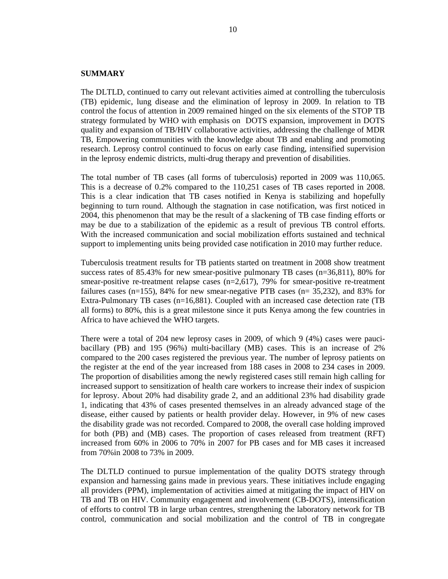#### **SUMMARY**

The DLTLD, continued to carry out relevant activities aimed at controlling the tuberculosis (TB) epidemic, lung disease and the elimination of leprosy in 2009. In relation to TB control the focus of attention in 2009 remained hinged on the six elements of the STOP TB strategy formulated by WHO with emphasis on DOTS expansion, improvement in DOTS quality and expansion of TB/HIV collaborative activities, addressing the challenge of MDR TB, Empowering communities with the knowledge about TB and enabling and promoting research. Leprosy control continued to focus on early case finding, intensified supervision in the leprosy endemic districts, multi-drug therapy and prevention of disabilities.

The total number of TB cases (all forms of tuberculosis) reported in 2009 was 110,065. This is a decrease of 0.2% compared to the 110,251 cases of TB cases reported in 2008. This is a clear indication that TB cases notified in Kenya is stabilizing and hopefully beginning to turn round. Although the stagnation in case notification, was first noticed in 2004, this phenomenon that may be the result of a slackening of TB case finding efforts or may be due to a stabilization of the epidemic as a result of previous TB control efforts. With the increased communication and social mobilization efforts sustained and technical support to implementing units being provided case notification in 2010 may further reduce.

Tuberculosis treatment results for TB patients started on treatment in 2008 show treatment success rates of 85.43% for new smear-positive pulmonary TB cases (n=36,811), 80% for smear-positive re-treatment relapse cases  $(n=2,617)$ , 79% for smear-positive re-treatment failures cases (n=155), 84% for new smear-negative PTB cases (n= 35,232), and 83% for Extra-Pulmonary TB cases (n=16,881). Coupled with an increased case detection rate (TB all forms) to 80%, this is a great milestone since it puts Kenya among the few countries in Africa to have achieved the WHO targets.

There were a total of 204 new leprosy cases in 2009, of which 9 (4%) cases were paucibacillary (PB) and 195 (96%) multi-bacillary (MB) cases. This is an increase of 2% compared to the 200 cases registered the previous year. The number of leprosy patients on the register at the end of the year increased from 188 cases in 2008 to 234 cases in 2009. The proportion of disabilities among the newly registered cases still remain high calling for increased support to sensitization of health care workers to increase their index of suspicion for leprosy. About 20% had disability grade 2, and an additional 23% had disability grade 1, indicating that 43% of cases presented themselves in an already advanced stage of the disease, either caused by patients or health provider delay. However, in 9% of new cases the disability grade was not recorded. Compared to 2008, the overall case holding improved for both (PB) and (MB) cases. The proportion of cases released from treatment (RFT) increased from 60% in 2006 to 70% in 2007 for PB cases and for MB cases it increased from 70%in 2008 to 73% in 2009.

The DLTLD continued to pursue implementation of the quality DOTS strategy through expansion and harnessing gains made in previous years. These initiatives include engaging all providers (PPM), implementation of activities aimed at mitigating the impact of HIV on TB and TB on HIV. Community engagement and involvement (CB-DOTS), intensification of efforts to control TB in large urban centres, strengthening the laboratory network for TB control, communication and social mobilization and the control of TB in congregate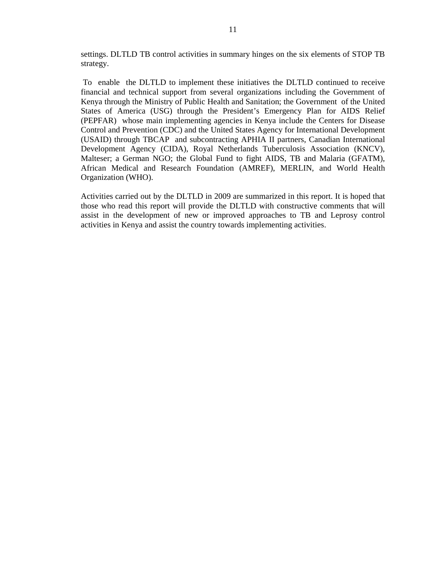settings. DLTLD TB control activities in summary hinges on the six elements of STOP TB strategy.

 To enable the DLTLD to implement these initiatives the DLTLD continued to receive financial and technical support from several organizations including the Government of Kenya through the Ministry of Public Health and Sanitation; the Government of the United States of America (USG) through the President's Emergency Plan for AIDS Relief (PEPFAR) whose main implementing agencies in Kenya include the Centers for Disease Control and Prevention (CDC) and the United States Agency for International Development (USAID) through TBCAP and subcontracting APHIA II partners, Canadian International Development Agency (CIDA), Royal Netherlands Tuberculosis Association (KNCV), Malteser; a German NGO; the Global Fund to fight AIDS, TB and Malaria (GFATM), African Medical and Research Foundation (AMREF), MERLIN, and World Health Organization (WHO).

Activities carried out by the DLTLD in 2009 are summarized in this report. It is hoped that those who read this report will provide the DLTLD with constructive comments that will assist in the development of new or improved approaches to TB and Leprosy control activities in Kenya and assist the country towards implementing activities.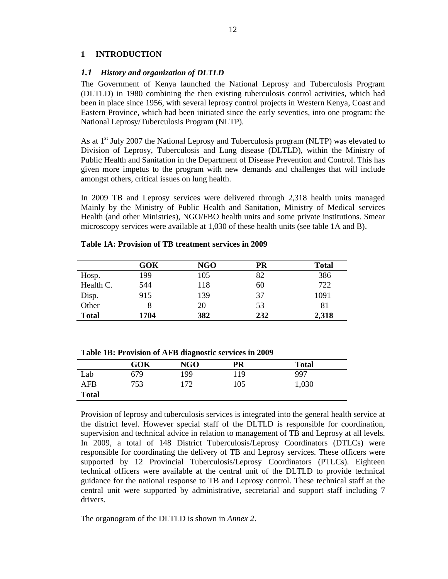### **1 INTRODUCTION**

#### *1.1 History and organization of DLTLD*

The Government of Kenya launched the National Leprosy and Tuberculosis Program (DLTLD) in 1980 combining the then existing tuberculosis control activities, which had been in place since 1956, with several leprosy control projects in Western Kenya, Coast and Eastern Province, which had been initiated since the early seventies, into one program: the National Leprosy/Tuberculosis Program (NLTP).

As at 1<sup>st</sup> July 2007 the National Leprosy and Tuberculosis program (NLTP) was elevated to Division of Leprosy, Tuberculosis and Lung disease (DLTLD), within the Ministry of Public Health and Sanitation in the Department of Disease Prevention and Control. This has given more impetus to the program with new demands and challenges that will include amongst others, critical issues on lung health.

In 2009 TB and Leprosy services were delivered through 2,318 health units managed Mainly by the Ministry of Public Health and Sanitation, Ministry of Medical services Health (and other Ministries), NGO/FBO health units and some private institutions. Smear microscopy services were available at 1,030 of these health units (see table 1A and B).

|              | GOK  | <b>NGO</b> | PR  | <b>Total</b> |
|--------------|------|------------|-----|--------------|
| Hosp.        | 199  | 105        | 82  | 386          |
| Health C.    | 544  | 118        | 60  | 722          |
| Disp.        | 915  | 139        | 37  | 1091         |
| Other        |      | 20         | 53  | 81           |
| <b>Total</b> | 1704 | 382        | 232 | 2,318        |

#### **Table 1A: Provision of TB treatment services in 2009**

|              | <b>GOK</b> | <b>NGO</b> | PR  | <b>Total</b> |
|--------------|------------|------------|-----|--------------|
| Lab          | 679        | 199        | 119 | 997          |
| AFB          | 753        | 172        | 105 | 1,030        |
| <b>Total</b> |            |            |     |              |

**Table 1B: Provision of AFB diagnostic services in 2009** 

Provision of leprosy and tuberculosis services is integrated into the general health service at the district level. However special staff of the DLTLD is responsible for coordination, supervision and technical advice in relation to management of TB and Leprosy at all levels. In 2009, a total of 148 District Tuberculosis/Leprosy Coordinators (DTLCs) were responsible for coordinating the delivery of TB and Leprosy services. These officers were supported by 12 Provincial Tuberculosis/Leprosy Coordinators (PTLCs). Eighteen technical officers were available at the central unit of the DLTLD to provide technical guidance for the national response to TB and Leprosy control. These technical staff at the central unit were supported by administrative, secretarial and support staff including 7 drivers.

The organogram of the DLTLD is shown in *Annex 2*.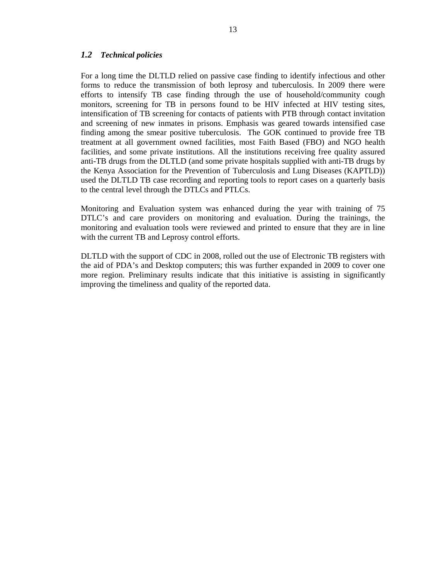#### *1.2 Technical policies*

For a long time the DLTLD relied on passive case finding to identify infectious and other forms to reduce the transmission of both leprosy and tuberculosis. In 2009 there were efforts to intensify TB case finding through the use of household/community cough monitors, screening for TB in persons found to be HIV infected at HIV testing sites, intensification of TB screening for contacts of patients with PTB through contact invitation and screening of new inmates in prisons. Emphasis was geared towards intensified case finding among the smear positive tuberculosis. The GOK continued to provide free TB treatment at all government owned facilities, most Faith Based (FBO) and NGO health facilities, and some private institutions. All the institutions receiving free quality assured anti-TB drugs from the DLTLD (and some private hospitals supplied with anti-TB drugs by the Kenya Association for the Prevention of Tuberculosis and Lung Diseases (KAPTLD)) used the DLTLD TB case recording and reporting tools to report cases on a quarterly basis to the central level through the DTLCs and PTLCs.

Monitoring and Evaluation system was enhanced during the year with training of 75 DTLC's and care providers on monitoring and evaluation. During the trainings, the monitoring and evaluation tools were reviewed and printed to ensure that they are in line with the current TB and Leprosy control efforts.

DLTLD with the support of CDC in 2008, rolled out the use of Electronic TB registers with the aid of PDA's and Desktop computers; this was further expanded in 2009 to cover one more region. Preliminary results indicate that this initiative is assisting in significantly improving the timeliness and quality of the reported data.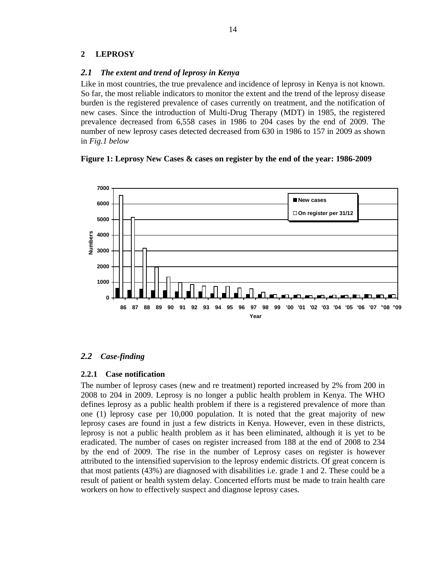### **2 LEPROSY**

### *2.1 The extent and trend of leprosy in Kenya*

Like in most countries, the true prevalence and incidence of leprosy in Kenya is not known. So far, the most reliable indicators to monitor the extent and the trend of the leprosy disease burden is the registered prevalence of cases currently on treatment, and the notification of new cases. Since the introduction of Multi-Drug Therapy (MDT) in 1985, the registered prevalence decreased from 6,558 cases in 1986 to 204 cases by the end of 2009. The number of new leprosy cases detected decreased from 630 in 1986 to 157 in 2009 as shown in *Fig.1 below* 

### **Figure 1: Leprosy New Cases & cases on register by the end of the year: 1986-2009**



## *2.2 Case-finding*

### **2.2.1 Case notification**

The number of leprosy cases (new and re treatment) reported increased by 2% from 200 in 2008 to 204 in 2009. Leprosy is no longer a public health problem in Kenya. The WHO defines leprosy as a public health problem if there is a registered prevalence of more than one (1) leprosy case per 10,000 population. It is noted that the great majority of new leprosy cases are found in just a few districts in Kenya. However, even in these districts, leprosy is not a public health problem as it has been eliminated, although it is yet to be eradicated. The number of cases on register increased from 188 at the end of 2008 to 234 by the end of 2009. The rise in the number of Leprosy cases on register is however attributed to the intensified supervision to the leprosy endemic districts. Of great concern is that most patients (43%) are diagnosed with disabilities i.e. grade 1 and 2. These could be a result of patient or health system delay. Concerted efforts must be made to train health care workers on how to effectively suspect and diagnose leprosy cases.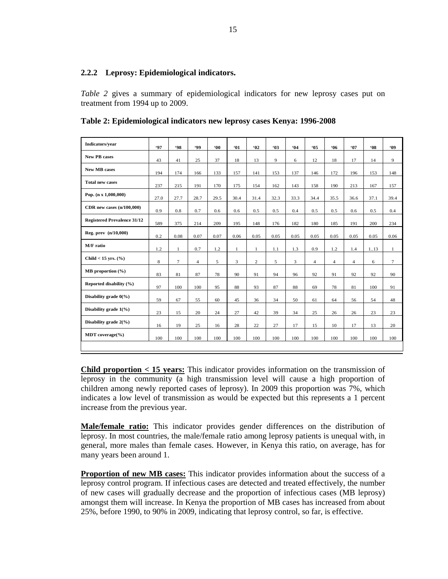### **2.2.2 Leprosy: Epidemiological indicators.**

*Table 2* gives a summary of epidemiological indicators for new leprosy cases put on treatment from 1994 up to 2009.

|  |  |  | Table 2: Epidemiological indicators new leprosy cases Kenya: 1996-2008 |  |  |  |
|--|--|--|------------------------------------------------------------------------|--|--|--|
|--|--|--|------------------------------------------------------------------------|--|--|--|

| Indicators/vear                    | <b>'97</b>  | <b>98</b>    | 499            | $00^{\circ}$ | 61           | 92             | <b>'03</b> | 64   | <b>'05</b>     | .06            | <b>'07</b>     | '08  | <b>409</b>   |
|------------------------------------|-------------|--------------|----------------|--------------|--------------|----------------|------------|------|----------------|----------------|----------------|------|--------------|
| <b>New PB</b> cases                | 43          | 41           | 25             | 37           | 18           | 13             | 9          | 6    | 12             | 18             | 17             | 14   | 9            |
| <b>New MB</b> cases                | 194         | 174          | 166            | 133          | 157          | 141            | 153        | 137  | 146            | 172            | 196            | 153  | 148          |
| <b>Total new cases</b>             | 237         | 215          | 191            | 170          | 175          | 154            | 162        | 143  | 158            | 190            | 213            | 167  | 157          |
| Pop. $(n \times 1,000,000)$        | 27.0        | 27.7         | 28.7           | 29.5         | 30.4         | 31.4           | 32.3       | 33.3 | 34.4           | 35.5           | 36.6           | 37.1 | 39.4         |
| CDR new cases $(n/100,000)$        | 0.9         | 0.8          | 0.7            | 0.6          | 0.6          | 0.5            | 0.5        | 0.4  | 0.5            | 0.5            | 0.6            | 0.5  | 0.4          |
| <b>Registered Prevalence 31/12</b> | 589         | 375          | 214            | 209          | 195          | 148            | 176        | 182  | 180            | 185            | 191            | 200  | 234          |
| Reg. prev $(n/10,000)$             | 0.2         | 0.08         | 0.07           | 0.07         | 0.06         | 0.05           | 0.05       | 0.05 | 0.05           | 0.05           | 0.05           | 0.05 | 0.06         |
| M/F ratio                          | 1.2         | $\mathbf{1}$ | 0.7            | 1.2          | $\mathbf{1}$ | $\mathbf{1}$   | 1.1        | 1.3  | 0.9            | 1.2            | 1.4            | 113  | $\mathbf{1}$ |
| Child $<$ 15 yrs. $(\%$ )          | $\,$ 8 $\,$ | $\tau$       | $\overline{4}$ | 5            | 3            | $\overline{c}$ | 5          | 3    | $\overline{4}$ | $\overline{4}$ | $\overline{4}$ | 6    | $\tau$       |
| $MB$ proportion $(\% )$            | 83          | 81           | 87             | 78           | 90           | 91             | 94         | 96   | 92             | 91             | 92             | 92   | 90           |
| Reported disability (%)            | 97          | 100          | 100            | 95           | 88           | 93             | 87         | 88   | 69             | 78             | 81             | 100  | 91           |
| Disability grade $0\frac{6}{6}$    | 59          | 67           | 55             | 60           | 45           | 36             | 34         | 50   | 61             | 64             | 56             | 54   | 48           |
| Disability grade 1(%)              | 23          | 15           | 20             | 24           | 27           | 42             | 39         | 34   | 25             | 26             | 26             | 23   | 23           |
| Disability grade 2(%)              | 16          | 19           | 25             | 16           | 28           | 22             | 27         | 17   | 15             | 10             | 17             | 13   | 20           |
| <b>MDT</b> coverage $(\% )$        | 100         | 100          | 100            | 100          | 100          | 100            | 100        | 100  | 100            | 100            | 100            | 100  | 100          |
|                                    |             |              |                |              |              |                |            |      |                |                |                |      |              |

**Child proportion < 15 years:** This indicator provides information on the transmission of leprosy in the community (a high transmission level will cause a high proportion of children among newly reported cases of leprosy). In 2009 this proportion was 7%, which indicates a low level of transmission as would be expected but this represents a 1 percent increase from the previous year.

**Male/female ratio:** This indicator provides gender differences on the distribution of leprosy. In most countries, the male/female ratio among leprosy patients is unequal with, in general, more males than female cases. However, in Kenya this ratio, on average, has for many years been around 1.

**Proportion of new MB cases:** This indicator provides information about the success of a leprosy control program. If infectious cases are detected and treated effectively, the number of new cases will gradually decrease and the proportion of infectious cases (MB leprosy) amongst them will increase. In Kenya the proportion of MB cases has increased from about 25%, before 1990, to 90% in 2009, indicating that leprosy control, so far, is effective.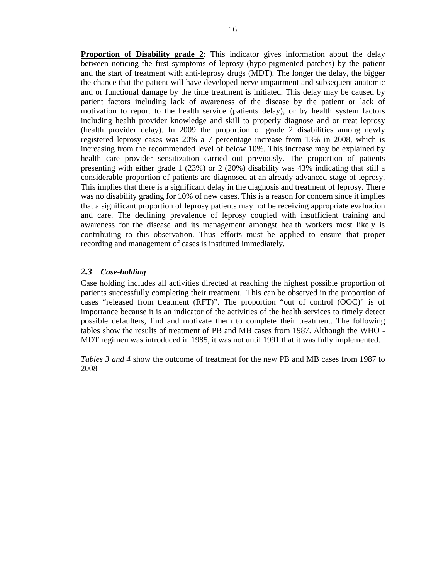**Proportion of Disability grade 2**: This indicator gives information about the delay between noticing the first symptoms of leprosy (hypo-pigmented patches) by the patient and the start of treatment with anti-leprosy drugs (MDT). The longer the delay, the bigger the chance that the patient will have developed nerve impairment and subsequent anatomic and or functional damage by the time treatment is initiated. This delay may be caused by patient factors including lack of awareness of the disease by the patient or lack of motivation to report to the health service (patients delay), or by health system factors including health provider knowledge and skill to properly diagnose and or treat leprosy (health provider delay). In 2009 the proportion of grade 2 disabilities among newly registered leprosy cases was 20% a 7 percentage increase from 13% in 2008, which is increasing from the recommended level of below 10%. This increase may be explained by health care provider sensitization carried out previously. The proportion of patients presenting with either grade 1 (23%) or 2 (20%) disability was 43% indicating that still a considerable proportion of patients are diagnosed at an already advanced stage of leprosy. This implies that there is a significant delay in the diagnosis and treatment of leprosy. There was no disability grading for 10% of new cases. This is a reason for concern since it implies that a significant proportion of leprosy patients may not be receiving appropriate evaluation and care. The declining prevalence of leprosy coupled with insufficient training and awareness for the disease and its management amongst health workers most likely is contributing to this observation. Thus efforts must be applied to ensure that proper recording and management of cases is instituted immediately.

### *2.3 Case-holding*

Case holding includes all activities directed at reaching the highest possible proportion of patients successfully completing their treatment. This can be observed in the proportion of cases "released from treatment (RFT)". The proportion "out of control (OOC)" is of importance because it is an indicator of the activities of the health services to timely detect possible defaulters, find and motivate them to complete their treatment. The following tables show the results of treatment of PB and MB cases from 1987. Although the WHO - MDT regimen was introduced in 1985, it was not until 1991 that it was fully implemented.

*Tables 3 and 4* show the outcome of treatment for the new PB and MB cases from 1987 to 2008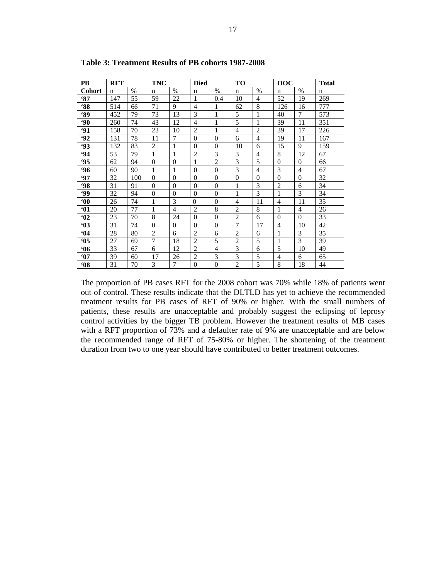| PВ            | <b>RFT</b> |      | <b>TNC</b>     |                | <b>Died</b>    |                | <b>TO</b>      |                | 00C            |                | <b>Total</b> |
|---------------|------------|------|----------------|----------------|----------------|----------------|----------------|----------------|----------------|----------------|--------------|
| <b>Cohort</b> | n          | $\%$ | $\mathbf n$    | $\%$           | $\mathbf n$    | $\%$           | $\mathbf n$    | $\%$           | $\mathbf n$    | $\%$           | $\mathbf n$  |
| 87            | 147        | 55   | 59             | 22             | 1              | 0.4            | 10             | $\overline{4}$ | 52             | 19             | 269          |
| $88^\circ$    | 514        | 66   | 71             | 9              | $\overline{4}$ | 1              | 62             | 8              | 126            | 16             | 777          |
| <b>89°</b>    | 452        | 79   | 73             | 13             | 3              | 1              | 5              | 1              | 40             | 7              | 573          |
| $90^{\circ}$  | 260        | 74   | 43             | 12             | $\overline{4}$ | 1              | 5              | 1              | 39             | 11             | 351          |
| <b>'91</b>    | 158        | 70   | 23             | 10             | $\overline{2}$ | 1              | 4              | 2              | 39             | 17             | 226          |
| $-92$         | 131        | 78   | 11             | $\tau$         | $\theta$       | $\theta$       | 6              | $\overline{4}$ | 19             | 11             | 167          |
| $-93$         | 132        | 83   | $\overline{2}$ | 1              | $\Omega$       | $\mathbf{0}$   | 10             | 6              | 15             | 9              | 159          |
| .94           | 53         | 79   | 1              | $\mathbf{1}$   | $\overline{2}$ | 3              | 3              | $\overline{4}$ | 8              | 12             | 67           |
| 95            | 62         | 94   | $\theta$       | $\overline{0}$ | $\mathbf{1}$   | $\overline{c}$ | 3              | 5              | $\theta$       | $\overline{0}$ | 66           |
| .96           | 60         | 90   | 1              | 1              | $\theta$       | $\theta$       | 3              | $\overline{4}$ | 3              | $\overline{4}$ | 67           |
| .97           | 32         | 100  | $\theta$       | $\theta$       | $\theta$       | $\theta$       | $\Omega$       | $\Omega$       | $\theta$       | $\overline{0}$ | 32           |
| <b>98</b>     | 31         | 91   | $\theta$       | $\Omega$       | $\Omega$       | $\Omega$       | 1              | 3              | $\overline{2}$ | 6              | 34           |
| <b>99</b>     | 32         | 94   | $\overline{0}$ | $\theta$       | $\overline{0}$ | $\overline{0}$ |                | 3              | 1              | 3              | 34           |
| $60^\circ$    | 26         | 74   | 1              | 3              | $\theta$       | $\theta$       | $\overline{4}$ | 11             | 4              | 11             | 35           |
| 61            | 20         | 77   | 1              | $\overline{4}$ | $\overline{2}$ | 8              | $\overline{2}$ | 8              | 1              | 4              | 26           |
| 62            | 23         | 70   | 8              | 24             | $\theta$       | $\overline{0}$ | $\overline{2}$ | 6              | $\theta$       | $\theta$       | 33           |
| 63            | 31         | 74   | $\theta$       | $\Omega$       | $\theta$       | $\overline{0}$ | 7              | 17             | 4              | 10             | 42           |
| 64            | 28         | 80   | $\overline{2}$ | 6              | $\overline{2}$ | 6              | 2              | 6              | 1              | 3              | 35           |
| 65            | 27         | 69   | 7              | 18             | $\mathbf{2}$   | 5              | $\mathbf{2}$   | 5              | 1              | 3              | 39           |
| 66            | 33         | 67   | 6              | 12             | $\overline{2}$ | $\overline{4}$ | 3              | 6              | 5              | 10             | 49           |
| 67            | 39         | 60   | 17             | 26             | $\overline{2}$ | 3              | 3              | 5              | 4              | 6              | 65           |
| 68            | 31         | 70   | 3              | $\overline{7}$ | $\overline{0}$ | $\overline{0}$ | $\overline{2}$ | 5              | 8              | 18             | 44           |

**Table 3: Treatment Results of PB cohorts 1987-2008** 

The proportion of PB cases RFT for the 2008 cohort was 70% while 18% of patients went out of control. These results indicate that the DLTLD has yet to achieve the recommended treatment results for PB cases of RFT of 90% or higher. With the small numbers of patients, these results are unacceptable and probably suggest the eclipsing of leprosy control activities by the bigger TB problem. However the treatment results of MB cases with a RFT proportion of 73% and a defaulter rate of 9% are unacceptable and are below the recommended range of RFT of 75-80% or higher. The shortening of the treatment duration from two to one year should have contributed to better treatment outcomes.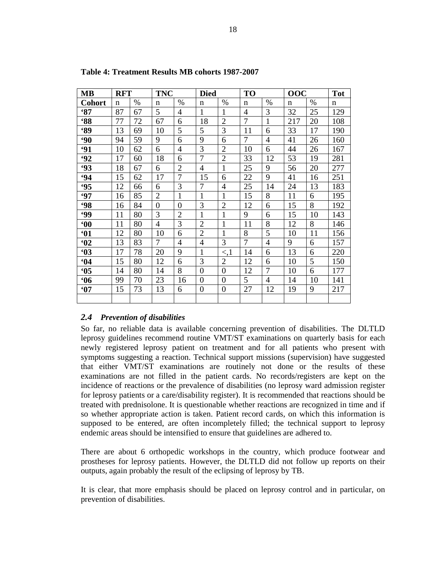| <b>MB</b>       | <b>RFT</b>  |      | <b>TNC</b>     |                | <b>Died</b>    |                  | <b>TO</b>      |                | 00C         |      | <b>Tot</b>  |
|-----------------|-------------|------|----------------|----------------|----------------|------------------|----------------|----------------|-------------|------|-------------|
| <b>Cohort</b>   | $\mathbf n$ | $\%$ | n              | $\%$           | n              | $\%$             | $\mathbf n$    | $\%$           | $\mathbf n$ | $\%$ | $\mathbf n$ |
| 87              | 87          | 67   | 5              | 4              | 1              | 1                | $\overline{4}$ | 3              | 32          | 25   | 129         |
| <b>88°</b>      | 77          | 72   | 67             | 6              | 18             | $\overline{2}$   | 7              | $\mathbf{1}$   | 217         | 20   | 108         |
| 89              | 13          | 69   | 10             | 5              | 5              | 3                | 11             | 6              | 33          | 17   | 190         |
| <b>90</b>       | 94          | 59   | 9              | 6              | 9              | 6                | 7              | 4              | 41          | 26   | 160         |
| 91              | 10          | 62   | 6              | $\overline{4}$ | 3              | $\overline{2}$   | 10             | 6              | 44          | 26   | 167         |
| 92              | 17          | 60   | 18             | 6              | $\overline{7}$ | $\overline{2}$   | 33             | 12             | 53          | 19   | 281         |
| $-93$           | 18          | 67   | 6              | $\overline{2}$ | $\overline{4}$ | $\mathbf{1}$     | 25             | 9              | 56          | 20   | 277         |
| 94              | 15          | 62   | 17             | 7              | 15             | 6                | 22             | 9              | 41          | 16   | 251         |
| <b>95</b>       | 12          | 66   | 6              | 3              | 7              | 4                | 25             | 14             | 24          | 13   | 183         |
| <b>'97</b>      | 16          | 85   | $\overline{2}$ | $\mathbf{1}$   | $\mathbf{1}$   | 1                | 15             | 8              | 11          | 6    | 195         |
| <b>98</b>       | 16          | 84   | $\overline{0}$ | $\overline{0}$ | 3              | $\overline{2}$   | 12             | 6              | 15          | 8    | 192         |
| <b>99</b>       | 11          | 80   | 3              | $\overline{2}$ | $\mathbf{1}$   | 1                | 9              | 6              | 15          | 10   | 143         |
| 60 <sup>°</sup> | 11          | 80   | $\overline{4}$ | 3              | $\overline{2}$ | $\mathbf{1}$     | 11             | 8              | 12          | 8    | 146         |
| 61              | 12          | 80   | 10             | 6              | $\overline{2}$ | 1                | 8              | 5              | 10          | 11   | 156         |
| 62              | 13          | 83   | 7              | $\overline{4}$ | $\overline{4}$ | 3                | 7              | $\overline{4}$ | 9           | 6    | 157         |
| 63              | 17          | 78   | 20             | 9              | $\mathbf{1}$   | $\leq 1$         | 14             | 6              | 13          | 6    | 220         |
| 64              | 15          | 80   | 12             | 6              | 3              | $\overline{2}$   | 12             | 6              | 10          | 5    | 150         |
| 65              | 14          | 80   | 14             | 8              | $\overline{0}$ | $\overline{0}$   | 12             | 7              | 10          | 6    | 177         |
| 66              | 99          | 70   | 23             | 16             | $\overline{0}$ | $\boldsymbol{0}$ | 5              | $\overline{4}$ | 14          | 10   | 141         |
| 67              | 15          | 73   | 13             | 6              | 0              | $\boldsymbol{0}$ | 27             | 12             | 19          | 9    | 217         |
|                 |             |      |                |                |                |                  |                |                |             |      |             |

**Table 4: Treatment Results MB cohorts 1987-2007** 

## *2.4 Prevention of disabilities*

So far, no reliable data is available concerning prevention of disabilities. The DLTLD leprosy guidelines recommend routine VMT/ST examinations on quarterly basis for each newly registered leprosy patient on treatment and for all patients who present with symptoms suggesting a reaction. Technical support missions (supervision) have suggested that either VMT/ST examinations are routinely not done or the results of these examinations are not filled in the patient cards. No records/registers are kept on the incidence of reactions or the prevalence of disabilities (no leprosy ward admission register for leprosy patients or a care/disability register). It is recommended that reactions should be treated with prednisolone. It is questionable whether reactions are recognized in time and if so whether appropriate action is taken. Patient record cards, on which this information is supposed to be entered, are often incompletely filled; the technical support to leprosy endemic areas should be intensified to ensure that guidelines are adhered to.

There are about 6 orthopedic workshops in the country, which produce footwear and prostheses for leprosy patients. However, the DLTLD did not follow up reports on their outputs, again probably the result of the eclipsing of leprosy by TB.

It is clear, that more emphasis should be placed on leprosy control and in particular, on prevention of disabilities.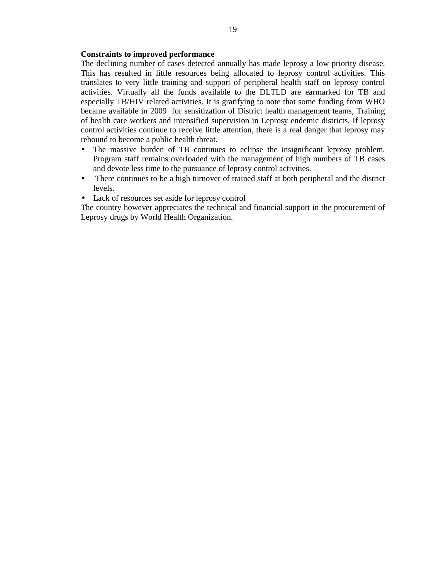#### **Constraints to improved performance**

The declining number of cases detected annually has made leprosy a low priority disease. This has resulted in little resources being allocated to leprosy control activities. This translates to very little training and support of peripheral health staff on leprosy control activities. Virtually all the funds available to the DLTLD are earmarked for TB and especially TB/HIV related activities. It is gratifying to note that some funding from WHO became available in 2009 for sensitization of District health management teams, Training of health care workers and intensified supervision in Leprosy endemic districts. If leprosy control activities continue to receive little attention, there is a real danger that leprosy may rebound to become a public health threat.

- The massive burden of TB continues to eclipse the insignificant leprosy problem. Program staff remains overloaded with the management of high numbers of TB cases and devote less time to the pursuance of leprosy control activities.
- There continues to be a high turnover of trained staff at both peripheral and the district levels.
- Lack of resources set aside for leprosy control

The country however appreciates the technical and financial support in the procurement of Leprosy drugs by World Health Organization.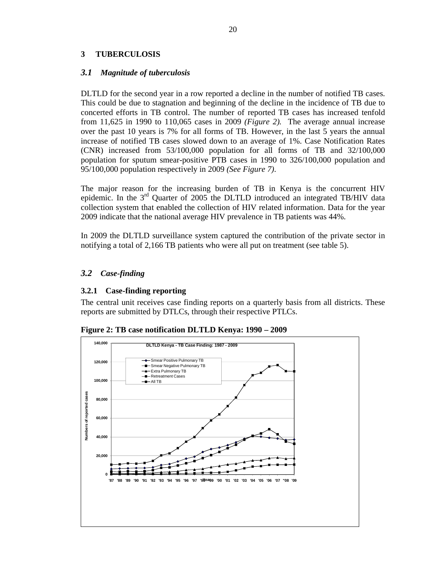## **3 TUBERCULOSIS**

### *3.1 Magnitude of tuberculosis*

DLTLD for the second year in a row reported a decline in the number of notified TB cases. This could be due to stagnation and beginning of the decline in the incidence of TB due to concerted efforts in TB control. The number of reported TB cases has increased tenfold from 11,625 in 1990 to 110,065 cases in 2009 *(Figure 2).* The average annual increase over the past 10 years is 7% for all forms of TB. However, in the last 5 years the annual increase of notified TB cases slowed down to an average of 1%. Case Notification Rates (CNR) increased from 53/100,000 population for all forms of TB and 32/100,000 population for sputum smear-positive PTB cases in 1990 to 326/100,000 population and 95/100,000 population respectively in 2009 *(See Figure 7)*.

The major reason for the increasing burden of TB in Kenya is the concurrent HIV epidemic. In the 3<sup>rd</sup> Ouarter of 2005 the DLTLD introduced an integrated TB/HIV data collection system that enabled the collection of HIV related information. Data for the year 2009 indicate that the national average HIV prevalence in TB patients was 44%.

In 2009 the DLTLD surveillance system captured the contribution of the private sector in notifying a total of 2,166 TB patients who were all put on treatment (see table 5).

## *3.2 Case-finding*

### **3.2.1 Case-finding reporting**

The central unit receives case finding reports on a quarterly basis from all districts. These reports are submitted by DTLCs, through their respective PTLCs.



**Figure 2: TB case notification DLTLD Kenya: 1990 – 2009**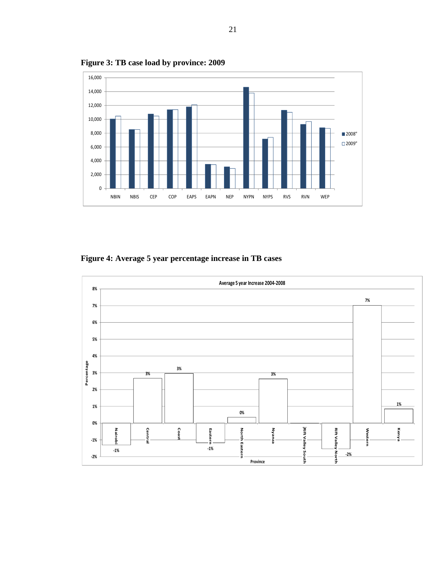

**Figure 3: TB case load by province: 2009** 

**Figure 4: Average 5 year percentage increase in TB cases** 

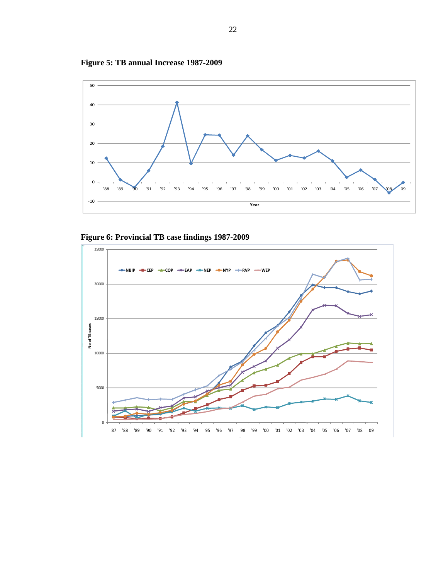



**Figure 6: Provincial TB case findings 1987-2009** 

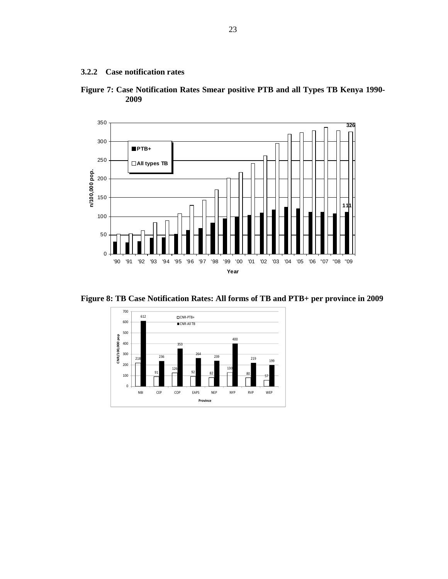**3.2.2 Case notification rates** 





**Figure 8: TB Case Notification Rates: All forms of TB and PTB+ per province in 2009** 

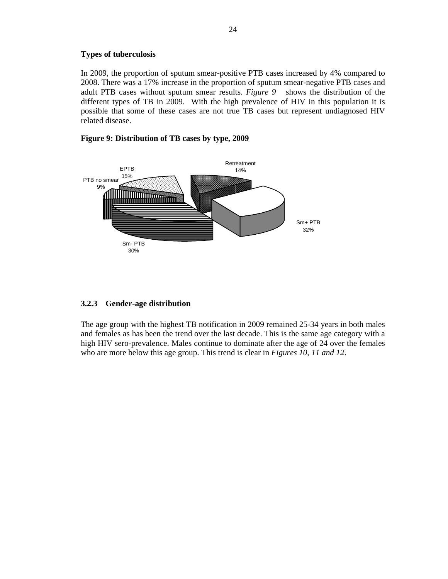#### **Types of tuberculosis**

In 2009, the proportion of sputum smear-positive PTB cases increased by 4% compared to 2008. There was a 17% increase in the proportion of sputum smear-negative PTB cases and adult PTB cases without sputum smear results. *Figure 9* shows the distribution of the different types of TB in 2009. With the high prevalence of HIV in this population it is possible that some of these cases are not true TB cases but represent undiagnosed HIV related disease.

#### **Figure 9: Distribution of TB cases by type, 2009**



### **3.2.3 Gender-age distribution**

The age group with the highest TB notification in 2009 remained 25-34 years in both males and females as has been the trend over the last decade. This is the same age category with a high HIV sero-prevalence. Males continue to dominate after the age of 24 over the females who are more below this age group. This trend is clear in *Figures 10, 11 and 12*.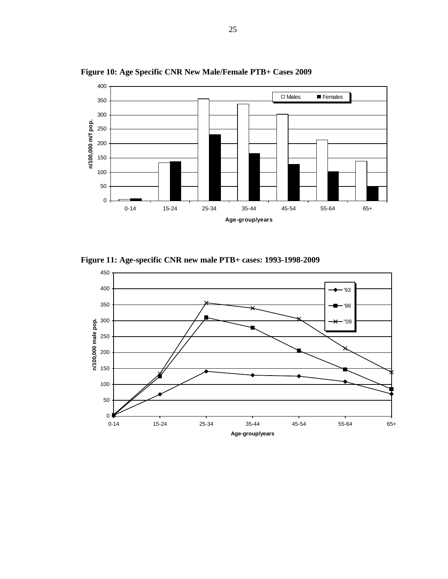

**Figure 10: Age Specific CNR New Male/Female PTB+ Cases 2009** 

**Figure 11: Age-specific CNR new male PTB+ cases: 1993-1998-2009** 

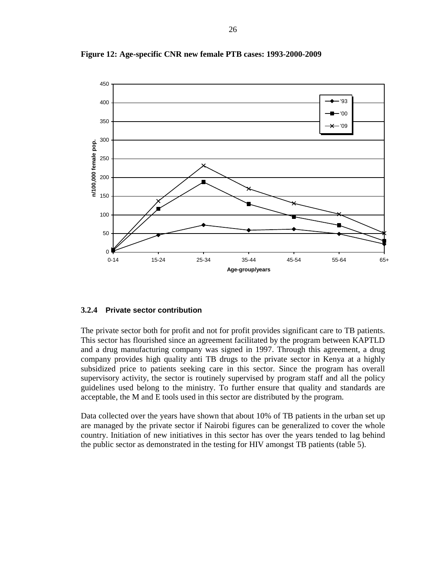

**Figure 12: Age-specific CNR new female PTB cases: 1993-2000-2009** 

#### **3.2.4 Private sector contribution**

The private sector both for profit and not for profit provides significant care to TB patients. This sector has flourished since an agreement facilitated by the program between KAPTLD and a drug manufacturing company was signed in 1997. Through this agreement, a drug company provides high quality anti TB drugs to the private sector in Kenya at a highly subsidized price to patients seeking care in this sector. Since the program has overall supervisory activity, the sector is routinely supervised by program staff and all the policy guidelines used belong to the ministry. To further ensure that quality and standards are acceptable, the M and E tools used in this sector are distributed by the program.

Data collected over the years have shown that about 10% of TB patients in the urban set up are managed by the private sector if Nairobi figures can be generalized to cover the whole country. Initiation of new initiatives in this sector has over the years tended to lag behind the public sector as demonstrated in the testing for HIV amongst TB patients (table 5).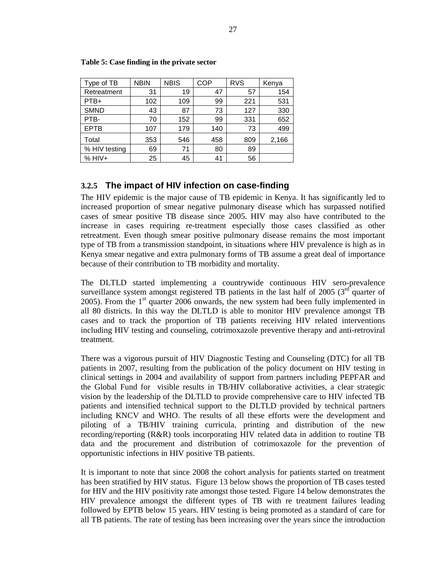| Type of TB    | <b>NBIN</b> | <b>NBIS</b> | COP | <b>RVS</b> | Kenya |
|---------------|-------------|-------------|-----|------------|-------|
| Retreatment   | 31          | 19          | 47  | 57         | 154   |
| PTB+          | 102         | 109         | 99  | 221        | 531   |
| <b>SMND</b>   | 43          | 87          | 73  | 127        | 330   |
| PTB-          | 70          | 152         | 99  | 331        | 652   |
| <b>EPTB</b>   | 107         | 179         | 140 | 73         | 499   |
| Total         | 353         | 546         | 458 | 809        | 2,166 |
| % HIV testing | 69          | 71          | 80  | 89         |       |
| $% HIV+$      | 25          | 45          | 41  | 56         |       |

**Table 5: Case finding in the private sector** 

## **3.2.5 The impact of HIV infection on case-finding**

The HIV epidemic is the major cause of TB epidemic in Kenya. It has significantly led to increased proportion of smear negative pulmonary disease which has surpassed notified cases of smear positive TB disease since 2005. HIV may also have contributed to the increase in cases requiring re-treatment especially those cases classified as other retreatment. Even though smear positive pulmonary disease remains the most important type of TB from a transmission standpoint, in situations where HIV prevalence is high as in Kenya smear negative and extra pulmonary forms of TB assume a great deal of importance because of their contribution to TB morbidity and mortality.

The DLTLD started implementing a countrywide continuous HIV sero-prevalence surveillance system amongst registered TB patients in the last half of 2005 ( $3<sup>rd</sup>$  quarter of 2005). From the  $1<sup>st</sup>$  quarter 2006 onwards, the new system had been fully implemented in all 80 districts. In this way the DLTLD is able to monitor HIV prevalence amongst TB cases and to track the proportion of TB patients receiving HIV related interventions including HIV testing and counseling, cotrimoxazole preventive therapy and anti-retroviral treatment.

There was a vigorous pursuit of HIV Diagnostic Testing and Counseling (DTC) for all TB patients in 2007, resulting from the publication of the policy document on HIV testing in clinical settings in 2004 and availability of support from partners including PEPFAR and the Global Fund for visible results in TB/HIV collaborative activities, a clear strategic vision by the leadership of the DLTLD to provide comprehensive care to HIV infected TB patients and intensified technical support to the DLTLD provided by technical partners including KNCV and WHO. The results of all these efforts were the development and piloting of a TB/HIV training curricula, printing and distribution of the new recording/reporting (R&R) tools incorporating HIV related data in addition to routine TB data and the procurement and distribution of cotrimoxazole for the prevention of opportunistic infections in HIV positive TB patients.

It is important to note that since 2008 the cohort analysis for patients started on treatment has been stratified by HIV status. Figure 13 below shows the proportion of TB cases tested for HIV and the HIV positivity rate amongst those tested*.* Figure 14 below demonstrates the HIV prevalence amongst the different types of TB with re treatment failures leading followed by EPTB below 15 years. HIV testing is being promoted as a standard of care for all TB patients. The rate of testing has been increasing over the years since the introduction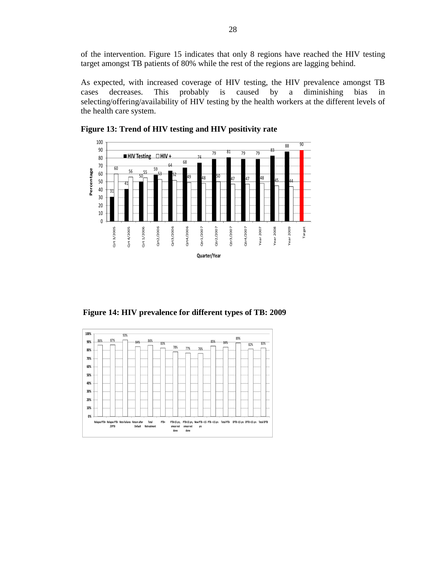of the intervention. Figure 15 indicates that only 8 regions have reached the HIV testing target amongst TB patients of 80% while the rest of the regions are lagging behind.

As expected, with increased coverage of HIV testing, the HIV prevalence amongst TB cases decreases. This probably is caused by a diminishing bias in selecting/offering/availability of HIV testing by the health workers at the different levels of the health care system.







 **Figure 14: HIV prevalence for different types of TB: 2009**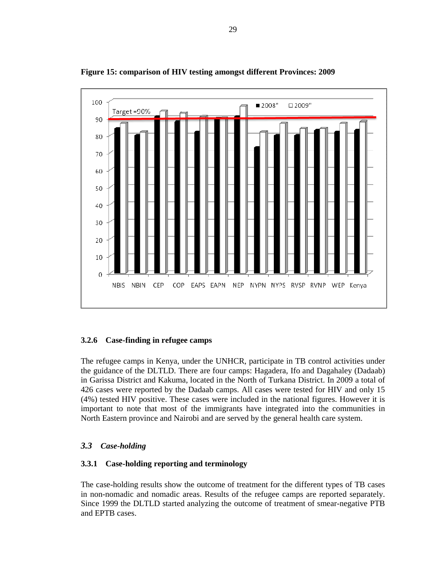

**Figure 15: comparison of HIV testing amongst different Provinces: 2009** 

## **3.2.6 Case-finding in refugee camps**

The refugee camps in Kenya, under the UNHCR, participate in TB control activities under the guidance of the DLTLD. There are four camps: Hagadera, Ifo and Dagahaley (Dadaab) in Garissa District and Kakuma, located in the North of Turkana District. In 2009 a total of 426 cases were reported by the Dadaab camps. All cases were tested for HIV and only 15 (4%) tested HIV positive. These cases were included in the national figures. However it is important to note that most of the immigrants have integrated into the communities in North Eastern province and Nairobi and are served by the general health care system.

## *3.3 Case-holding*

### **3.3.1 Case-holding reporting and terminology**

The case-holding results show the outcome of treatment for the different types of TB cases in non-nomadic and nomadic areas. Results of the refugee camps are reported separately. Since 1999 the DLTLD started analyzing the outcome of treatment of smear-negative PTB and EPTB cases.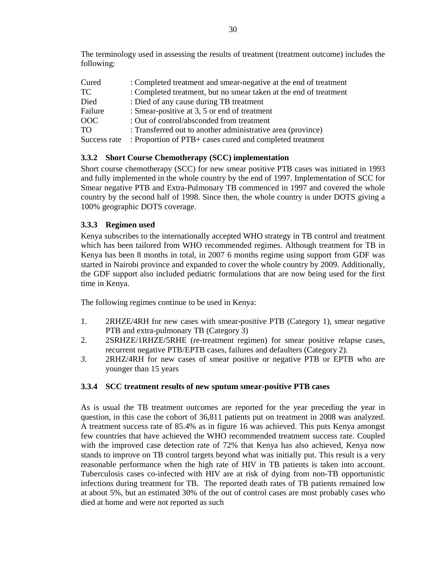The terminology used in assessing the results of treatment (treatment outcome) includes the following:

| Cured        | : Completed treatment and smear-negative at the end of treatment  |
|--------------|-------------------------------------------------------------------|
| TC.          | : Completed treatment, but no smear taken at the end of treatment |
| Died         | : Died of any cause during TB treatment                           |
| Failure      | : Smear-positive at 3, 5 or end of treatment                      |
| <b>OOC</b>   | : Out of control/absconded from treatment                         |
| TO.          | : Transferred out to another administrative area (province)       |
| Success rate | : Proportion of PTB+ cases cured and completed treatment          |

## **3.3.2 Short Course Chemotherapy (SCC) implementation**

Short course chemotherapy (SCC) for new smear positive PTB cases was initiated in 1993 and fully implemented in the whole country by the end of 1997. Implementation of SCC for Smear negative PTB and Extra-Pulmonary TB commenced in 1997 and covered the whole country by the second half of 1998. Since then, the whole country is under DOTS giving a 100% geographic DOTS coverage.

## **3.3.3 Regimen used**

Kenya subscribes to the internationally accepted WHO strategy in TB control and treatment which has been tailored from WHO recommended regimes. Although treatment for TB in Kenya has been 8 months in total, in 2007 6 months regime using support from GDF was started in Nairobi province and expanded to cover the whole country by 2009. Additionally, the GDF support also included pediatric formulations that are now being used for the first time in Kenya.

The following regimes continue to be used in Kenya:

- 1. 2RHZE/4RH for new cases with smear-positive PTB (Category 1), smear negative PTB and extra-pulmonary TB (Category 3)
- 2. 2SRHZE/1RHZE/5RHE (re-treatment regimen) for smear positive relapse cases, recurrent negative PTB/EPTB cases, failures and defaulters (Category 2).
- *3.* 2RHZ/4RH for new cases of smear positive or negative PTB or EPTB who are younger than 15 years

## **3.3.4 SCC treatment results of new sputum smear-positive PTB cases**

As is usual the TB treatment outcomes are reported for the year preceding the year in question, in this case the cohort of 36,811 patients put on treatment in 2008 was analyzed. A treatment success rate of 85.4% as in figure 16 was achieved. This puts Kenya amongst few countries that have achieved the WHO recommended treatment success rate. Coupled with the improved case detection rate of 72% that Kenya has also achieved, Kenya now stands to improve on TB control targets beyond what was initially put. This result is a very reasonable performance when the high rate of HIV in TB patients is taken into account. Tuberculosis cases co-infected with HIV are at risk of dying from non-TB opportunistic infections during treatment for TB. The reported death rates of TB patients remained low at about 5%, but an estimated 30% of the out of control cases are most probably cases who died at home and were not reported as such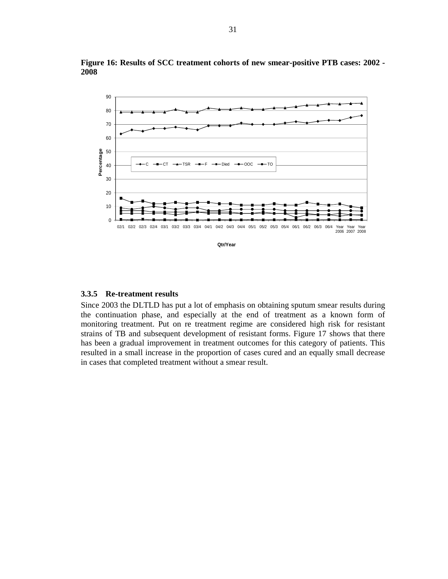

**Figure 16: Results of SCC treatment cohorts of new smear-positive PTB cases: 2002 - 2008** 

#### **3.3.5 Re-treatment results**

Since 2003 the DLTLD has put a lot of emphasis on obtaining sputum smear results during the continuation phase, and especially at the end of treatment as a known form of monitoring treatment. Put on re treatment regime are considered high risk for resistant strains of TB and subsequent development of resistant forms. Figure 17 shows that there has been a gradual improvement in treatment outcomes for this category of patients. This resulted in a small increase in the proportion of cases cured and an equally small decrease in cases that completed treatment without a smear result.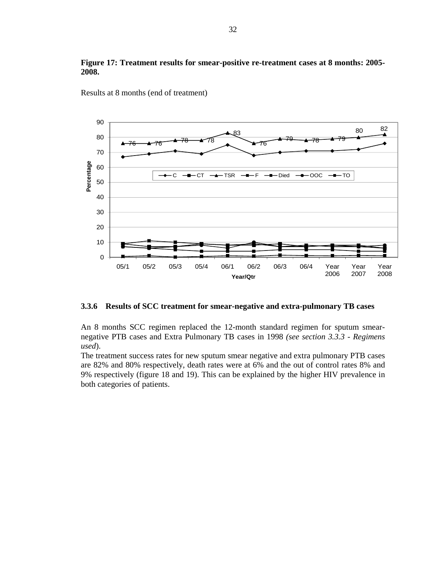



Results at 8 months (end of treatment)

#### **3.3.6 Results of SCC treatment for smear-negative and extra-pulmonary TB cases**

An 8 months SCC regimen replaced the 12-month standard regimen for sputum smearnegative PTB cases and Extra Pulmonary TB cases in 1998 *(see section 3.3.3 - Regimens used*).

The treatment success rates for new sputum smear negative and extra pulmonary PTB cases are 82% and 80% respectively, death rates were at 6% and the out of control rates 8% and 9% respectively (figure 18 and 19). This can be explained by the higher HIV prevalence in both categories of patients.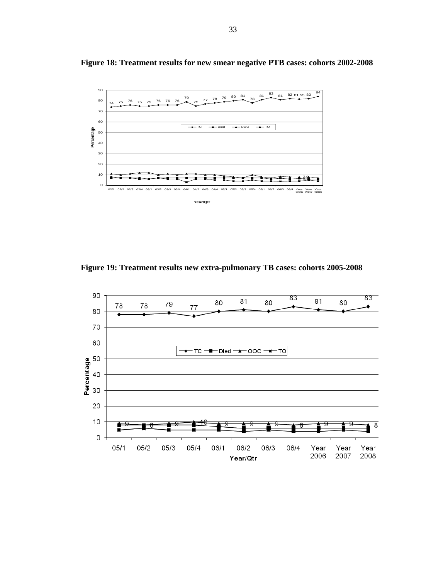

**Figure 18: Treatment results for new smear negative PTB cases: cohorts 2002-2008**

**Figure 19: Treatment results new extra-pulmonary TB cases: cohorts 2005-2008** 

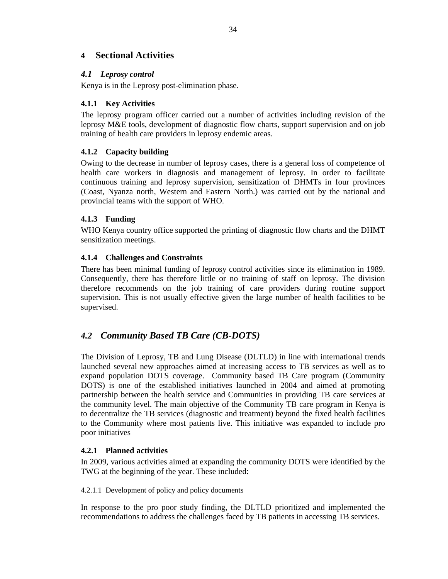## **4 Sectional Activities**

### *4.1 Leprosy control*

Kenya is in the Leprosy post-elimination phase.

### **4.1.1 Key Activities**

The leprosy program officer carried out a number of activities including revision of the leprosy M&E tools, development of diagnostic flow charts, support supervision and on job training of health care providers in leprosy endemic areas.

### **4.1.2 Capacity building**

Owing to the decrease in number of leprosy cases, there is a general loss of competence of health care workers in diagnosis and management of leprosy. In order to facilitate continuous training and leprosy supervision, sensitization of DHMTs in four provinces (Coast, Nyanza north, Western and Eastern North.) was carried out by the national and provincial teams with the support of WHO.

## **4.1.3 Funding**

WHO Kenya country office supported the printing of diagnostic flow charts and the DHMT sensitization meetings.

### **4.1.4 Challenges and Constraints**

There has been minimal funding of leprosy control activities since its elimination in 1989. Consequently, there has therefore little or no training of staff on leprosy. The division therefore recommends on the job training of care providers during routine support supervision. This is not usually effective given the large number of health facilities to be supervised.

## *4.2 Community Based TB Care (CB-DOTS)*

The Division of Leprosy, TB and Lung Disease (DLTLD) in line with international trends launched several new approaches aimed at increasing access to TB services as well as to expand population DOTS coverage. Community based TB Care program (Community DOTS) is one of the established initiatives launched in 2004 and aimed at promoting partnership between the health service and Communities in providing TB care services at the community level. The main objective of the Community TB care program in Kenya is to decentralize the TB services (diagnostic and treatment) beyond the fixed health facilities to the Community where most patients live. This initiative was expanded to include pro poor initiatives

### **4.2.1 Planned activities**

In 2009, various activities aimed at expanding the community DOTS were identified by the TWG at the beginning of the year. These included:

4.2.1.1 Development of policy and policy documents

In response to the pro poor study finding, the DLTLD prioritized and implemented the recommendations to address the challenges faced by TB patients in accessing TB services.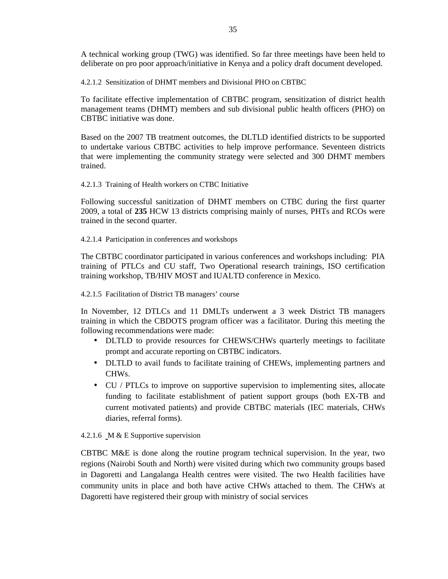A technical working group (TWG) was identified. So far three meetings have been held to deliberate on pro poor approach/initiative in Kenya and a policy draft document developed.

4.2.1.2 Sensitization of DHMT members and Divisional PHO on CBTBC

To facilitate effective implementation of CBTBC program, sensitization of district health management teams (DHMT) members and sub divisional public health officers (PHO) on CBTBC initiative was done.

Based on the 2007 TB treatment outcomes, the DLTLD identified districts to be supported to undertake various CBTBC activities to help improve performance. Seventeen districts that were implementing the community strategy were selected and 300 DHMT members trained.

4.2.1.3 Training of Health workers on CTBC Initiative

Following successful sanitization of DHMT members on CTBC during the first quarter 2009, a total of **235** HCW 13 districts comprising mainly of nurses, PHTs and RCOs were trained in the second quarter.

4.2.1.4 Participation in conferences and workshops

The CBTBC coordinator participated in various conferences and workshops including: PIA training of PTLCs and CU staff, Two Operational research trainings, ISO certification training workshop, TB/HIV MOST and IUALTD conference in Mexico.

4.2.1.5 Facilitation of District TB managers' course

In November, 12 DTLCs and 11 DMLTs underwent a 3 week District TB managers training in which the CBDOTS program officer was a facilitator. During this meeting the following recommendations were made:

- DLTLD to provide resources for CHEWS/CHWs quarterly meetings to facilitate prompt and accurate reporting on CBTBC indicators.
- DLTLD to avail funds to facilitate training of CHEWs, implementing partners and CHWs.
- CU / PTLCs to improve on supportive supervision to implementing sites, allocate funding to facilitate establishment of patient support groups (both EX-TB and current motivated patients) and provide CBTBC materials (IEC materials, CHWs diaries, referral forms).

### 4.2.1.6 M & E Supportive supervision

CBTBC M&E is done along the routine program technical supervision. In the year, two regions (Nairobi South and North) were visited during which two community groups based in Dagoretti and Langalanga Health centres were visited. The two Health facilities have community units in place and both have active CHWs attached to them. The CHWs at Dagoretti have registered their group with ministry of social services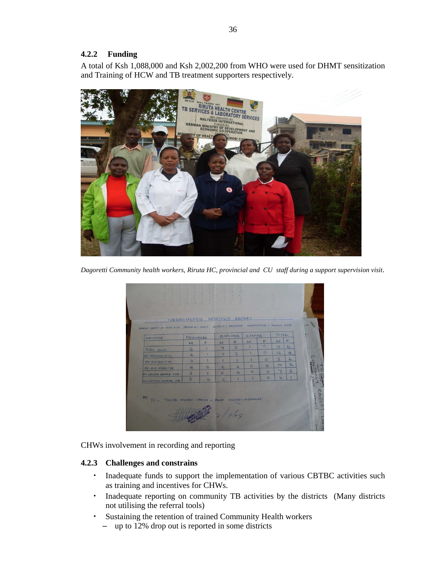### **4.2.2 Funding**

A total of Ksh 1,088,000 and Ksh 2,002,200 from WHO were used for DHMT sensitization and Training of HCW and TB treatment supporters respectively.



*Dagoretti Community health workers, Riruta HC, provincial and CU staff during a support supervision visit*.

| DAME: SHIMO LA TEWA HIC PROVINCE: COAST BETRICT: MOMEAGA MONTH/VEAR : AUGUST 2009. | PRISONERS      |         |                          | CIVILIANS               | STAFFS       |          | TOTAL                    |                |
|------------------------------------------------------------------------------------|----------------|---------|--------------------------|-------------------------|--------------|----------|--------------------------|----------------|
| INDICATOR                                                                          | M              | E       | M                        | F                       | $\mathbf{M}$ | F        | $\mathbf{M}$             | F              |
|                                                                                    | $\overline{5}$ |         | $\overline{\phantom{a}}$ | 5                       | $\mathbf{I}$ | $\circ$  | 12                       | 6              |
| TOTAL CASES                                                                        | 4              | ٠       | $\overline{7}$           | $\geq$                  |              | $\circ$  | 12                       | 4              |
| NO OFFERED PITC<br>NO HIV POSITIVE                                                 | $\circ$        |         |                          |                         | ı            | $\Omega$ | $\mathbf{r}$             | $\mathbf{r}$   |
| NO HIV NEGRTIVE                                                                    | 4              | $\circ$ | 6                        | $\overline{\mathbf{a}}$ | $\Omega$     | $\Omega$ | 10                       | $\mathbf{r}$   |
| NO SPUTUM SMEAR TVE                                                                | $\overline{2}$ |         | $\sqrt{2}$               | 4                       | $\circ$      | $\circ$  | $\overline{\phantom{a}}$ | $\overline{5}$ |
| NO SPUTUM SMEAR -VE                                                                | $\overline{3}$ | $\circ$ | $\overline{2}$           | ı                       |              | $\circ$  | $\mathbf{b}$             |                |
| <b>NB</b><br>JULIUS NGONDI ITHOKA -; FROM MWINGI-MBONDONI<br>$F1 -$                |                |         |                          |                         |              |          |                          |                |

CHWs involvement in recording and reporting

### **4.2.3 Challenges and constrains**

- Inadequate funds to support the implementation of various CBTBC activities such as training and incentives for CHWs.
- Inadequate reporting on community TB activities by the districts (Many districts not utilising the referral tools)
- Sustaining the retention of trained Community Health workers
	- up to 12% drop out is reported in some districts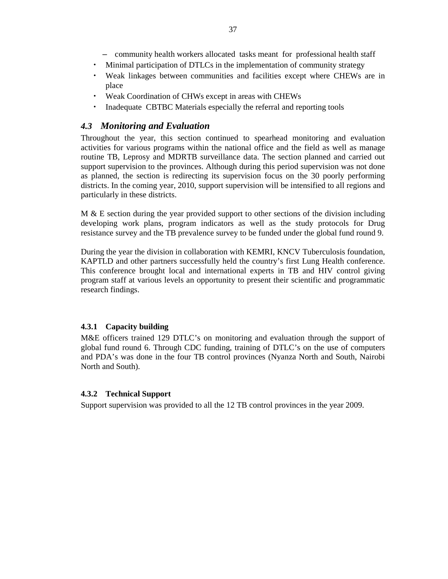- community health workers allocated tasks meant for professional health staff
- Minimal participation of DTLCs in the implementation of community strategy
- Weak linkages between communities and facilities except where CHEWs are in place
- Weak Coordination of CHWs except in areas with CHEWs
- Inadequate CBTBC Materials especially the referral and reporting tools

## *4.3 Monitoring and Evaluation*

Throughout the year, this section continued to spearhead monitoring and evaluation activities for various programs within the national office and the field as well as manage routine TB, Leprosy and MDRTB surveillance data. The section planned and carried out support supervision to the provinces. Although during this period supervision was not done as planned, the section is redirecting its supervision focus on the 30 poorly performing districts. In the coming year, 2010, support supervision will be intensified to all regions and particularly in these districts.

 $M \& E$  section during the year provided support to other sections of the division including developing work plans, program indicators as well as the study protocols for Drug resistance survey and the TB prevalence survey to be funded under the global fund round 9.

During the year the division in collaboration with KEMRI, KNCV Tuberculosis foundation, KAPTLD and other partners successfully held the country's first Lung Health conference. This conference brought local and international experts in TB and HIV control giving program staff at various levels an opportunity to present their scientific and programmatic research findings.

### **4.3.1 Capacity building**

M&E officers trained 129 DTLC's on monitoring and evaluation through the support of global fund round 6. Through CDC funding, training of DTLC's on the use of computers and PDA's was done in the four TB control provinces (Nyanza North and South, Nairobi North and South).

### **4.3.2 Technical Support**

Support supervision was provided to all the 12 TB control provinces in the year 2009.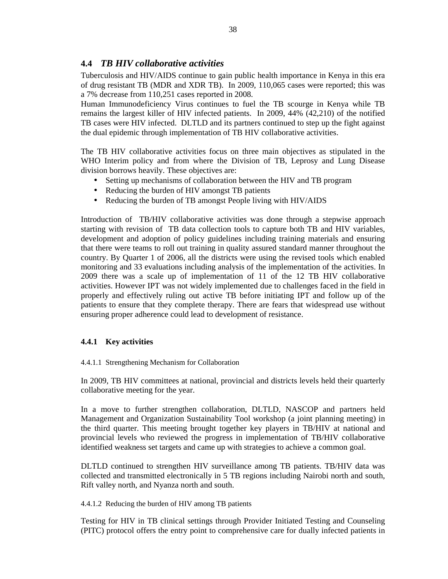## **4.4** *TB HIV collaborative activities*

Tuberculosis and HIV/AIDS continue to gain public health importance in Kenya in this era of drug resistant TB (MDR and XDR TB). In 2009, 110,065 cases were reported; this was a 7% decrease from 110,251 cases reported in 2008.

Human Immunodeficiency Virus continues to fuel the TB scourge in Kenya while TB remains the largest killer of HIV infected patients. In 2009, 44% (42,210) of the notified TB cases were HIV infected. DLTLD and its partners continued to step up the fight against the dual epidemic through implementation of TB HIV collaborative activities.

The TB HIV collaborative activities focus on three main objectives as stipulated in the WHO Interim policy and from where the Division of TB, Leprosy and Lung Disease division borrows heavily. These objectives are:

- Setting up mechanisms of collaboration between the HIV and TB program
- Reducing the burden of HIV amongst TB patients
- Reducing the burden of TB amongst People living with HIV/AIDS

Introduction of TB/HIV collaborative activities was done through a stepwise approach starting with revision of TB data collection tools to capture both TB and HIV variables, development and adoption of policy guidelines including training materials and ensuring that there were teams to roll out training in quality assured standard manner throughout the country. By Quarter 1 of 2006, all the districts were using the revised tools which enabled monitoring and 33 evaluations including analysis of the implementation of the activities. In 2009 there was a scale up of implementation of 11 of the 12 TB HIV collaborative activities. However IPT was not widely implemented due to challenges faced in the field in properly and effectively ruling out active TB before initiating IPT and follow up of the patients to ensure that they complete therapy. There are fears that widespread use without ensuring proper adherence could lead to development of resistance.

## **4.4.1 Key activities**

4.4.1.1 Strengthening Mechanism for Collaboration

In 2009, TB HIV committees at national, provincial and districts levels held their quarterly collaborative meeting for the year.

In a move to further strengthen collaboration, DLTLD, NASCOP and partners held Management and Organization Sustainability Tool workshop (a joint planning meeting) in the third quarter. This meeting brought together key players in TB/HIV at national and provincial levels who reviewed the progress in implementation of TB/HIV collaborative identified weakness set targets and came up with strategies to achieve a common goal.

DLTLD continued to strengthen HIV surveillance among TB patients. TB/HIV data was collected and transmitted electronically in 5 TB regions including Nairobi north and south, Rift valley north, and Nyanza north and south.

4.4.1.2 Reducing the burden of HIV among TB patients

Testing for HIV in TB clinical settings through Provider Initiated Testing and Counseling (PITC) protocol offers the entry point to comprehensive care for dually infected patients in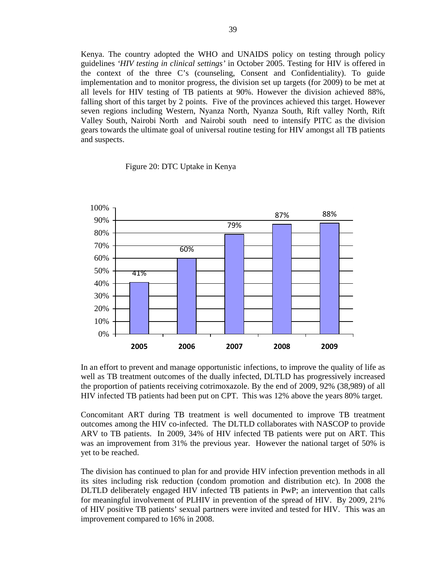Kenya. The country adopted the WHO and UNAIDS policy on testing through policy guidelines *'HIV testing in clinical settings'* in October 2005. Testing for HIV is offered in the context of the three C's (counseling, Consent and Confidentiality). To guide implementation and to monitor progress, the division set up targets (for 2009) to be met at all levels for HIV testing of TB patients at 90%. However the division achieved 88%, falling short of this target by 2 points. Five of the provinces achieved this target. However seven regions including Western, Nyanza North, Nyanza South, Rift valley North, Rift Valley South, Nairobi North and Nairobi south need to intensify PITC as the division gears towards the ultimate goal of universal routine testing for HIV amongst all TB patients and suspects.

Figure 20: DTC Uptake in Kenya



In an effort to prevent and manage opportunistic infections, to improve the quality of life as well as TB treatment outcomes of the dually infected, DLTLD has progressively increased the proportion of patients receiving cotrimoxazole. By the end of 2009, 92% (38,989) of all HIV infected TB patients had been put on CPT. This was 12% above the years 80% target.

Concomitant ART during TB treatment is well documented to improve TB treatment outcomes among the HIV co-infected. The DLTLD collaborates with NASCOP to provide ARV to TB patients. In 2009, 34% of HIV infected TB patients were put on ART. This was an improvement from 31% the previous year. However the national target of 50% is yet to be reached.

The division has continued to plan for and provide HIV infection prevention methods in all its sites including risk reduction (condom promotion and distribution etc). In 2008 the DLTLD deliberately engaged HIV infected TB patients in PwP; an intervention that calls for meaningful involvement of PLHIV in prevention of the spread of HIV. By 2009, 21% of HIV positive TB patients' sexual partners were invited and tested for HIV. This was an improvement compared to 16% in 2008.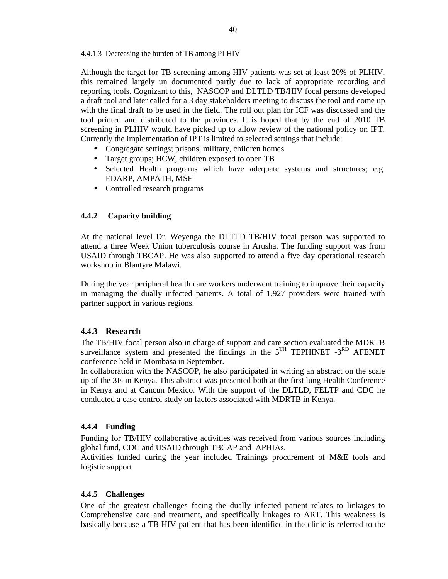#### 4.4.1.3 Decreasing the burden of TB among PLHIV

Although the target for TB screening among HIV patients was set at least 20% of PLHIV, this remained largely un documented partly due to lack of appropriate recording and reporting tools. Cognizant to this, NASCOP and DLTLD TB/HIV focal persons developed a draft tool and later called for a 3 day stakeholders meeting to discuss the tool and come up with the final draft to be used in the field. The roll out plan for ICF was discussed and the tool printed and distributed to the provinces. It is hoped that by the end of 2010 TB screening in PLHIV would have picked up to allow review of the national policy on IPT. Currently the implementation of IPT is limited to selected settings that include:

- Congregate settings; prisons, military, children homes
- Target groups; HCW, children exposed to open TB
- Selected Health programs which have adequate systems and structures; e.g. EDARP, AMPATH, MSF
- Controlled research programs

### **4.4.2 Capacity building**

At the national level Dr. Weyenga the DLTLD TB/HIV focal person was supported to attend a three Week Union tuberculosis course in Arusha. The funding support was from USAID through TBCAP. He was also supported to attend a five day operational research workshop in Blantyre Malawi.

During the year peripheral health care workers underwent training to improve their capacity in managing the dually infected patients. A total of 1,927 providers were trained with partner support in various regions.

### **4.4.3 Research**

The TB/HIV focal person also in charge of support and care section evaluated the MDRTB surveillance system and presented the findings in the  $5<sup>TH</sup>$  TEPHINET  $-3<sup>RD</sup>$  AFENET conference held in Mombasa in September.

In collaboration with the NASCOP, he also participated in writing an abstract on the scale up of the 3Is in Kenya. This abstract was presented both at the first lung Health Conference in Kenya and at Cancun Mexico. With the support of the DLTLD, FELTP and CDC he conducted a case control study on factors associated with MDRTB in Kenya.

### **4.4.4 Funding**

Funding for TB/HIV collaborative activities was received from various sources including global fund, CDC and USAID through TBCAP and APHIAs.

Activities funded during the year included Trainings procurement of M&E tools and logistic support

### **4.4.5 Challenges**

One of the greatest challenges facing the dually infected patient relates to linkages to Comprehensive care and treatment, and specifically linkages to ART. This weakness is basically because a TB HIV patient that has been identified in the clinic is referred to the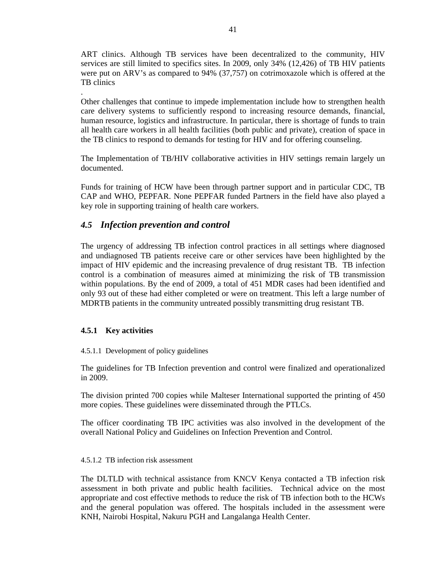ART clinics. Although TB services have been decentralized to the community, HIV services are still limited to specifics sites. In 2009, only 34% (12,426) of TB HIV patients were put on ARV's as compared to 94% (37,757) on cotrimoxazole which is offered at the TB clinics

. Other challenges that continue to impede implementation include how to strengthen health care delivery systems to sufficiently respond to increasing resource demands, financial, human resource, logistics and infrastructure. In particular, there is shortage of funds to train all health care workers in all health facilities (both public and private), creation of space in the TB clinics to respond to demands for testing for HIV and for offering counseling.

The Implementation of TB/HIV collaborative activities in HIV settings remain largely un documented.

Funds for training of HCW have been through partner support and in particular CDC, TB CAP and WHO, PEPFAR. None PEPFAR funded Partners in the field have also played a key role in supporting training of health care workers.

## *4.5 Infection prevention and control*

The urgency of addressing TB infection control practices in all settings where diagnosed and undiagnosed TB patients receive care or other services have been highlighted by the impact of HIV epidemic and the increasing prevalence of drug resistant TB. TB infection control is a combination of measures aimed at minimizing the risk of TB transmission within populations. By the end of 2009, a total of 451 MDR cases had been identified and only 93 out of these had either completed or were on treatment. This left a large number of MDRTB patients in the community untreated possibly transmitting drug resistant TB.

### **4.5.1 Key activities**

### 4.5.1.1 Development of policy guidelines

The guidelines for TB Infection prevention and control were finalized and operationalized in 2009.

The division printed 700 copies while Malteser International supported the printing of 450 more copies. These guidelines were disseminated through the PTLCs.

The officer coordinating TB IPC activities was also involved in the development of the overall National Policy and Guidelines on Infection Prevention and Control.

#### 4.5.1.2 TB infection risk assessment

The DLTLD with technical assistance from KNCV Kenya contacted a TB infection risk assessment in both private and public health facilities. Technical advice on the most appropriate and cost effective methods to reduce the risk of TB infection both to the HCWs and the general population was offered. The hospitals included in the assessment were KNH, Nairobi Hospital, Nakuru PGH and Langalanga Health Center.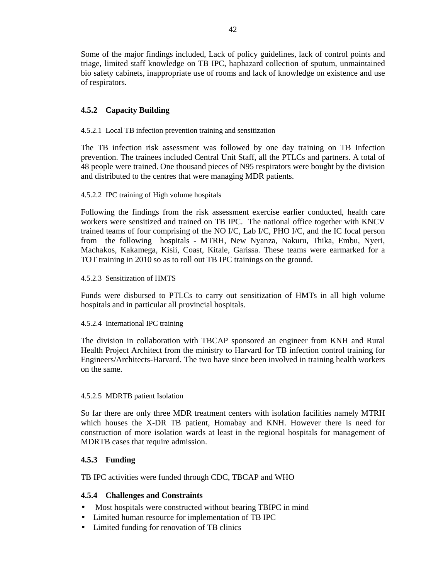Some of the major findings included, Lack of policy guidelines, lack of control points and triage, limited staff knowledge on TB IPC, haphazard collection of sputum, unmaintained bio safety cabinets, inappropriate use of rooms and lack of knowledge on existence and use of respirators.

## **4.5.2 Capacity Building**

4.5.2.1 Local TB infection prevention training and sensitization

The TB infection risk assessment was followed by one day training on TB Infection prevention. The trainees included Central Unit Staff, all the PTLCs and partners. A total of 48 people were trained. One thousand pieces of N95 respirators were bought by the division and distributed to the centres that were managing MDR patients.

### 4.5.2.2 IPC training of High volume hospitals

Following the findings from the risk assessment exercise earlier conducted, health care workers were sensitized and trained on TB IPC. The national office together with KNCV trained teams of four comprising of the NO I/C, Lab I/C, PHO I/C, and the IC focal person from the following hospitals - MTRH, New Nyanza, Nakuru, Thika, Embu, Nyeri, Machakos, Kakamega, Kisii, Coast, Kitale, Garissa. These teams were earmarked for a TOT training in 2010 so as to roll out TB IPC trainings on the ground.

### 4.5.2.3 Sensitization of HMTS

Funds were disbursed to PTLCs to carry out sensitization of HMTs in all high volume hospitals and in particular all provincial hospitals.

### 4.5.2.4 International IPC training

The division in collaboration with TBCAP sponsored an engineer from KNH and Rural Health Project Architect from the ministry to Harvard for TB infection control training for Engineers/Architects-Harvard. The two have since been involved in training health workers on the same.

### 4.5.2.5 MDRTB patient Isolation

So far there are only three MDR treatment centers with isolation facilities namely MTRH which houses the X-DR TB patient, Homabay and KNH. However there is need for construction of more isolation wards at least in the regional hospitals for management of MDRTB cases that require admission.

## **4.5.3 Funding**

TB IPC activities were funded through CDC, TBCAP and WHO

### **4.5.4 Challenges and Constraints**

- Most hospitals were constructed without bearing TBIPC in mind
- Limited human resource for implementation of TB IPC
- Limited funding for renovation of TB clinics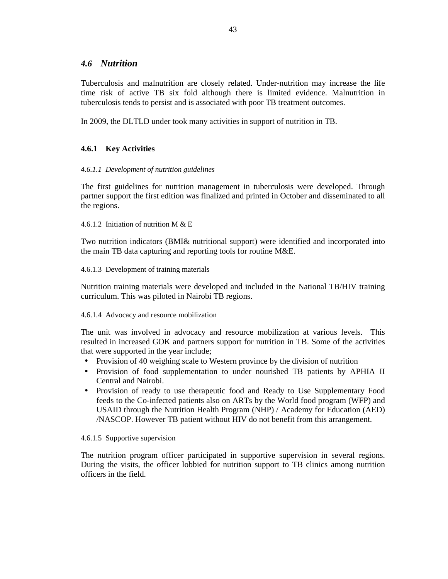### *4.6 Nutrition*

Tuberculosis and malnutrition are closely related. Under-nutrition may increase the life time risk of active TB six fold although there is limited evidence. Malnutrition in tuberculosis tends to persist and is associated with poor TB treatment outcomes.

In 2009, the DLTLD under took many activities in support of nutrition in TB.

## **4.6.1 Key Activities**

### *4.6.1.1 Development of nutrition guidelines*

The first guidelines for nutrition management in tuberculosis were developed. Through partner support the first edition was finalized and printed in October and disseminated to all the regions.

4.6.1.2 Initiation of nutrition M & E

Two nutrition indicators (BMI& nutritional support) were identified and incorporated into the main TB data capturing and reporting tools for routine M&E.

4.6.1.3 Development of training materials

Nutrition training materials were developed and included in the National TB/HIV training curriculum. This was piloted in Nairobi TB regions.

#### 4.6.1.4 Advocacy and resource mobilization

The unit was involved in advocacy and resource mobilization at various levels. This resulted in increased GOK and partners support for nutrition in TB. Some of the activities that were supported in the year include;

- Provision of 40 weighing scale to Western province by the division of nutrition
- Provision of food supplementation to under nourished TB patients by APHIA II Central and Nairobi.
- Provision of ready to use therapeutic food and Ready to Use Supplementary Food feeds to the Co-infected patients also on ARTs by the World food program (WFP) and USAID through the Nutrition Health Program (NHP) / Academy for Education (AED) /NASCOP. However TB patient without HIV do not benefit from this arrangement.

### 4.6.1.5 Supportive supervision

The nutrition program officer participated in supportive supervision in several regions. During the visits, the officer lobbied for nutrition support to TB clinics among nutrition officers in the field.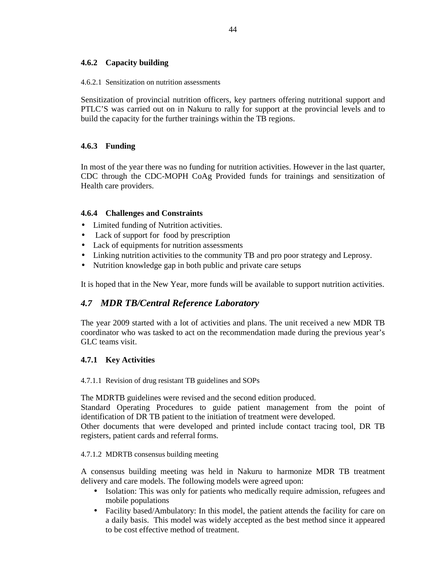### **4.6.2 Capacity building**

4.6.2.1 Sensitization on nutrition assessments

Sensitization of provincial nutrition officers, key partners offering nutritional support and PTLC'S was carried out on in Nakuru to rally for support at the provincial levels and to build the capacity for the further trainings within the TB regions.

### **4.6.3 Funding**

In most of the year there was no funding for nutrition activities. However in the last quarter, CDC through the CDC-MOPH CoAg Provided funds for trainings and sensitization of Health care providers.

### **4.6.4 Challenges and Constraints**

- Limited funding of Nutrition activities.
- Lack of support for food by prescription
- Lack of equipments for nutrition assessments
- Linking nutrition activities to the community TB and pro poor strategy and Leprosy.
- Nutrition knowledge gap in both public and private care setups

It is hoped that in the New Year, more funds will be available to support nutrition activities.

## *4.7 MDR TB/Central Reference Laboratory*

The year 2009 started with a lot of activities and plans. The unit received a new MDR TB coordinator who was tasked to act on the recommendation made during the previous year's GLC teams visit.

### **4.7.1 Key Activities**

4.7.1.1 Revision of drug resistant TB guidelines and SOPs

The MDRTB guidelines were revised and the second edition produced.

Standard Operating Procedures to guide patient management from the point of identification of DR TB patient to the initiation of treatment were developed.

Other documents that were developed and printed include contact tracing tool, DR TB registers, patient cards and referral forms.

### 4.7.1.2 MDRTB consensus building meeting

A consensus building meeting was held in Nakuru to harmonize MDR TB treatment delivery and care models. The following models were agreed upon:

- Isolation: This was only for patients who medically require admission, refugees and mobile populations
- Facility based/Ambulatory: In this model, the patient attends the facility for care on a daily basis. This model was widely accepted as the best method since it appeared to be cost effective method of treatment.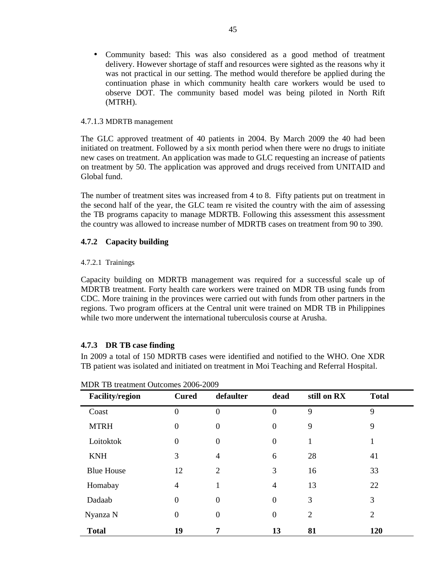• Community based: This was also considered as a good method of treatment delivery. However shortage of staff and resources were sighted as the reasons why it was not practical in our setting. The method would therefore be applied during the continuation phase in which community health care workers would be used to observe DOT. The community based model was being piloted in North Rift (MTRH).

### 4.7.1.3 MDRTB management

The GLC approved treatment of 40 patients in 2004. By March 2009 the 40 had been initiated on treatment. Followed by a six month period when there were no drugs to initiate new cases on treatment. An application was made to GLC requesting an increase of patients on treatment by 50. The application was approved and drugs received from UNITAID and Global fund.

The number of treatment sites was increased from 4 to 8. Fifty patients put on treatment in the second half of the year, the GLC team re visited the country with the aim of assessing the TB programs capacity to manage MDRTB. Following this assessment this assessment the country was allowed to increase number of MDRTB cases on treatment from 90 to 390.

### **4.7.2 Capacity building**

#### 4.7.2.1 Trainings

Capacity building on MDRTB management was required for a successful scale up of MDRTB treatment. Forty health care workers were trained on MDR TB using funds from CDC. More training in the provinces were carried out with funds from other partners in the regions. Two program officers at the Central unit were trained on MDR TB in Philippines while two more underwent the international tuberculosis course at Arusha.

### **4.7.3 DR TB case finding**

In 2009 a total of 150 MDRTB cases were identified and notified to the WHO. One XDR TB patient was isolated and initiated on treatment in Moi Teaching and Referral Hospital.

| <b>Facility/region</b> | <b>Cured</b>     | defaulter        | dead             | still on RX    | <b>Total</b>   |  |
|------------------------|------------------|------------------|------------------|----------------|----------------|--|
| Coast                  | $\overline{0}$   | $\mathbf{0}$     | $\overline{0}$   | 9              | 9              |  |
| <b>MTRH</b>            | $\boldsymbol{0}$ | $\boldsymbol{0}$ | $\boldsymbol{0}$ | 9              | 9              |  |
| Loitoktok              | $\boldsymbol{0}$ | $\boldsymbol{0}$ | $\boldsymbol{0}$ | $\mathbf{1}$   | 1              |  |
| <b>KNH</b>             | 3                | $\overline{4}$   | 6                | 28             | 41             |  |
| <b>Blue House</b>      | 12               | $\overline{2}$   | 3                | 16             | 33             |  |
| Homabay                | $\overline{4}$   | 1                | $\overline{4}$   | 13             | 22             |  |
| Dadaab                 | $\overline{0}$   | $\mathbf{0}$     | $\overline{0}$   | 3              | 3              |  |
| Nyanza N               | $\overline{0}$   | $\mathbf{0}$     | $\boldsymbol{0}$ | $\overline{2}$ | $\overline{2}$ |  |
| <b>Total</b>           | 19               | 7                | 13               | 81             | 120            |  |

|  | MDR TB treatment Outcomes 2006-2009 |
|--|-------------------------------------|
|--|-------------------------------------|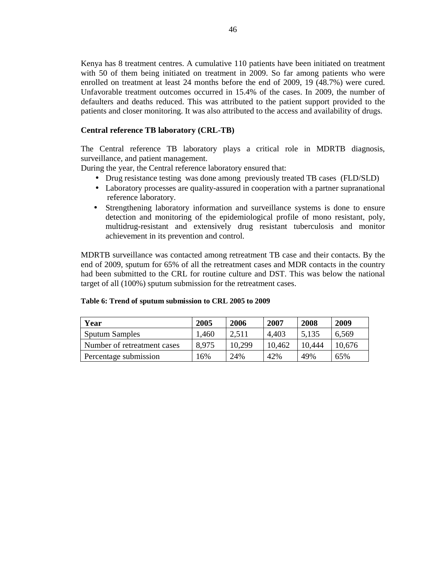Kenya has 8 treatment centres. A cumulative 110 patients have been initiated on treatment with 50 of them being initiated on treatment in 2009. So far among patients who were enrolled on treatment at least 24 months before the end of 2009, 19 (48.7%) were cured. Unfavorable treatment outcomes occurred in 15.4% of the cases. In 2009, the number of defaulters and deaths reduced. This was attributed to the patient support provided to the patients and closer monitoring. It was also attributed to the access and availability of drugs.

### **Central reference TB laboratory (CRL-TB)**

The Central reference TB laboratory plays a critical role in MDRTB diagnosis, surveillance, and patient management.

During the year, the Central reference laboratory ensured that:

- Drug resistance testing was done among previously treated TB cases (FLD/SLD)
- Laboratory processes are quality-assured in cooperation with a partner supranational reference laboratory.
- Strengthening laboratory information and surveillance systems is done to ensure detection and monitoring of the epidemiological profile of mono resistant, poly, multidrug-resistant and extensively drug resistant tuberculosis and monitor achievement in its prevention and control.

MDRTB surveillance was contacted among retreatment TB case and their contacts. By the end of 2009, sputum for 65% of all the retreatment cases and MDR contacts in the country had been submitted to the CRL for routine culture and DST. This was below the national target of all (100%) sputum submission for the retreatment cases.

| Year                        | 2005  | 2006   | 2007   | 2008   | 2009   |
|-----------------------------|-------|--------|--------|--------|--------|
| <b>Sputum Samples</b>       | 1.460 | 2.511  | 4.403  | 5,135  | 6.569  |
| Number of retreatment cases | 8.975 | 10,299 | 10.462 | 10.444 | 10,676 |
| Percentage submission       | $6\%$ | 24%    | 42%    | 49%    | 65%    |

#### **Table 6: Trend of sputum submission to CRL 2005 to 2009**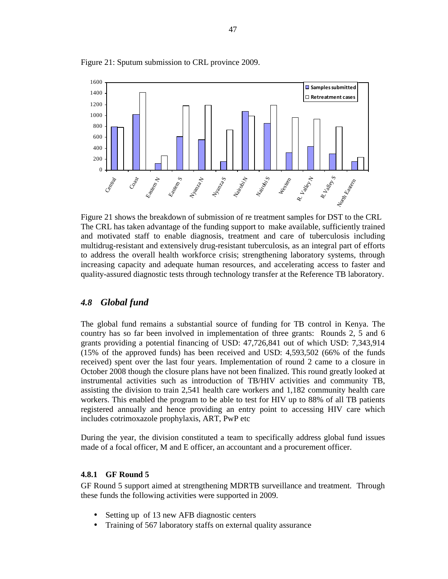

Figure 21: Sputum submission to CRL province 2009.

Figure 21 shows the breakdown of submission of re treatment samples for DST to the CRL The CRL has taken advantage of the funding support to make available, sufficiently trained and motivated staff to enable diagnosis, treatment and care of tuberculosis including multidrug-resistant and extensively drug-resistant tuberculosis, as an integral part of efforts to address the overall health workforce crisis; strengthening laboratory systems, through increasing capacity and adequate human resources, and accelerating access to faster and quality-assured diagnostic tests through technology transfer at the Reference TB laboratory.

### *4.8 Global fund*

The global fund remains a substantial source of funding for TB control in Kenya. The country has so far been involved in implementation of three grants: Rounds 2, 5 and 6 grants providing a potential financing of USD: 47,726,841 out of which USD: 7,343,914 (15% of the approved funds) has been received and USD: 4,593,502 (66% of the funds received) spent over the last four years. Implementation of round 2 came to a closure in October 2008 though the closure plans have not been finalized. This round greatly looked at instrumental activities such as introduction of TB/HIV activities and community TB, assisting the division to train 2,541 health care workers and 1,182 community health care workers. This enabled the program to be able to test for HIV up to 88% of all TB patients registered annually and hence providing an entry point to accessing HIV care which includes cotrimoxazole prophylaxis, ART, PwP etc

During the year, the division constituted a team to specifically address global fund issues made of a focal officer, M and E officer, an accountant and a procurement officer.

#### **4.8.1 GF Round 5**

GF Round 5 support aimed at strengthening MDRTB surveillance and treatment. Through these funds the following activities were supported in 2009.

- Setting up of 13 new AFB diagnostic centers
- Training of 567 laboratory staffs on external quality assurance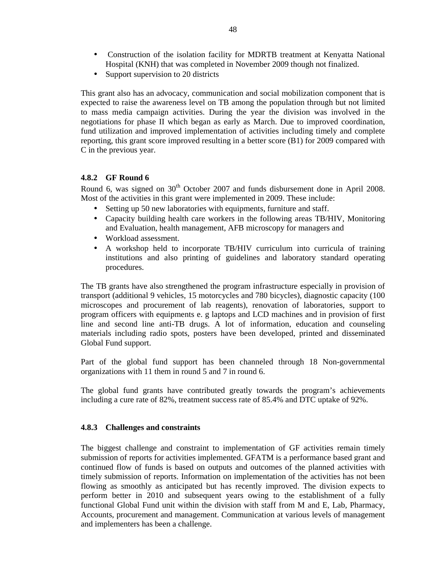- Construction of the isolation facility for MDRTB treatment at Kenyatta National Hospital (KNH) that was completed in November 2009 though not finalized.
- Support supervision to 20 districts

This grant also has an advocacy, communication and social mobilization component that is expected to raise the awareness level on TB among the population through but not limited to mass media campaign activities. During the year the division was involved in the negotiations for phase II which began as early as March. Due to improved coordination, fund utilization and improved implementation of activities including timely and complete reporting, this grant score improved resulting in a better score (B1) for 2009 compared with C in the previous year.

### **4.8.2 GF Round 6**

Round 6, was signed on  $30<sup>th</sup>$  October 2007 and funds disbursement done in April 2008. Most of the activities in this grant were implemented in 2009. These include:

- Setting up 50 new laboratories with equipments, furniture and staff.
- Capacity building health care workers in the following areas TB/HIV, Monitoring and Evaluation, health management, AFB microscopy for managers and
- Workload assessment.
- A workshop held to incorporate TB/HIV curriculum into curricula of training institutions and also printing of guidelines and laboratory standard operating procedures.

The TB grants have also strengthened the program infrastructure especially in provision of transport (additional 9 vehicles, 15 motorcycles and 780 bicycles), diagnostic capacity (100 microscopes and procurement of lab reagents), renovation of laboratories, support to program officers with equipments e. g laptops and LCD machines and in provision of first line and second line anti-TB drugs. A lot of information, education and counseling materials including radio spots, posters have been developed, printed and disseminated Global Fund support.

Part of the global fund support has been channeled through 18 Non-governmental organizations with 11 them in round 5 and 7 in round 6.

The global fund grants have contributed greatly towards the program's achievements including a cure rate of 82%, treatment success rate of 85.4% and DTC uptake of 92%.

### **4.8.3 Challenges and constraints**

The biggest challenge and constraint to implementation of GF activities remain timely submission of reports for activities implemented. GFATM is a performance based grant and continued flow of funds is based on outputs and outcomes of the planned activities with timely submission of reports. Information on implementation of the activities has not been flowing as smoothly as anticipated but has recently improved. The division expects to perform better in 2010 and subsequent years owing to the establishment of a fully functional Global Fund unit within the division with staff from M and E, Lab, Pharmacy, Accounts, procurement and management. Communication at various levels of management and implementers has been a challenge.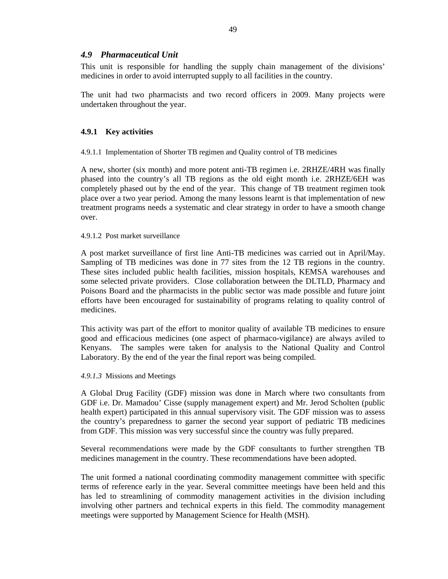### *4.9 Pharmaceutical Unit*

This unit is responsible for handling the supply chain management of the divisions' medicines in order to avoid interrupted supply to all facilities in the country.

The unit had two pharmacists and two record officers in 2009. Many projects were undertaken throughout the year.

### **4.9.1 Key activities**

4.9.1.1 Implementation of Shorter TB regimen and Quality control of TB medicines

A new, shorter (six month) and more potent anti-TB regimen i.e. 2RHZE/4RH was finally phased into the country's all TB regions as the old eight month i.e. 2RHZE/6EH was completely phased out by the end of the year. This change of TB treatment regimen took place over a two year period. Among the many lessons learnt is that implementation of new treatment programs needs a systematic and clear strategy in order to have a smooth change over.

#### 4.9.1.2 Post market surveillance

A post market surveillance of first line Anti-TB medicines was carried out in April/May. Sampling of TB medicines was done in 77 sites from the 12 TB regions in the country. These sites included public health facilities, mission hospitals, KEMSA warehouses and some selected private providers. Close collaboration between the DLTLD, Pharmacy and Poisons Board and the pharmacists in the public sector was made possible and future joint efforts have been encouraged for sustainability of programs relating to quality control of medicines.

This activity was part of the effort to monitor quality of available TB medicines to ensure good and efficacious medicines (one aspect of pharmaco-vigilance) are always aviled to Kenyans. The samples were taken for analysis to the National Quality and Control Laboratory. By the end of the year the final report was being compiled.

#### *4.9.1.3* Missions and Meetings

A Global Drug Facility (GDF) mission was done in March where two consultants from GDF i.e. Dr. Mamadou' Cisse (supply management expert) and Mr. Jerod Scholten (public health expert) participated in this annual supervisory visit. The GDF mission was to assess the country's preparedness to garner the second year support of pediatric TB medicines from GDF. This mission was very successful since the country was fully prepared.

Several recommendations were made by the GDF consultants to further strengthen TB medicines management in the country. These recommendations have been adopted.

The unit formed a national coordinating commodity management committee with specific terms of reference early in the year. Several committee meetings have been held and this has led to streamlining of commodity management activities in the division including involving other partners and technical experts in this field. The commodity management meetings were supported by Management Science for Health (MSH).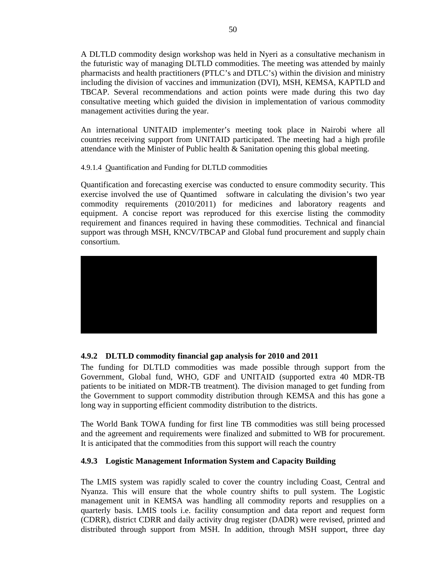A DLTLD commodity design workshop was held in Nyeri as a consultative mechanism in the futuristic way of managing DLTLD commodities. The meeting was attended by mainly pharmacists and health practitioners (PTLC's and DTLC's) within the division and ministry including the division of vaccines and immunization (DVI), MSH, KEMSA, KAPTLD and TBCAP. Several recommendations and action points were made during this two day consultative meeting which guided the division in implementation of various commodity management activities during the year.

An international UNITAID implementer's meeting took place in Nairobi where all countries receiving support from UNITAID participated. The meeting had a high profile attendance with the Minister of Public health  $\&$  Sanitation opening this global meeting.

4.9.1.4 Quantification and Funding for DLTLD commodities

Quantification and forecasting exercise was conducted to ensure commodity security. This exercise involved the use of Quantimed software in calculating the division's two year commodity requirements (2010/2011) for medicines and laboratory reagents and equipment. A concise report was reproduced for this exercise listing the commodity requirement and finances required in having these commodities. Technical and financial support was through MSH, KNCV/TBCAP and Global fund procurement and supply chain consortium.



## **4.9.2 DLTLD commodity financial gap analysis for 2010 and 2011**

The funding for DLTLD commodities was made possible through support from the Government, Global fund, WHO, GDF and UNITAID (supported extra 40 MDR-TB patients to be initiated on MDR-TB treatment). The division managed to get funding from the Government to support commodity distribution through KEMSA and this has gone a long way in supporting efficient commodity distribution to the districts.

The World Bank TOWA funding for first line TB commodities was still being processed and the agreement and requirements were finalized and submitted to WB for procurement. It is anticipated that the commodities from this support will reach the country

## **4.9.3 Logistic Management Information System and Capacity Building**

The LMIS system was rapidly scaled to cover the country including Coast, Central and Nyanza. This will ensure that the whole country shifts to pull system. The Logistic management unit in KEMSA was handling all commodity reports and resupplies on a quarterly basis. LMIS tools i.e. facility consumption and data report and request form (CDRR), district CDRR and daily activity drug register (DADR) were revised, printed and distributed through support from MSH. In addition, through MSH support, three day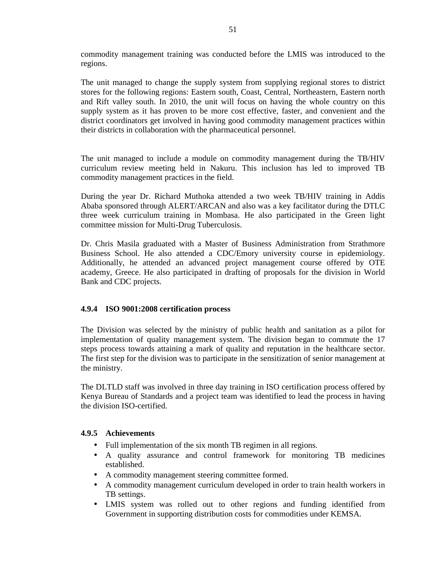commodity management training was conducted before the LMIS was introduced to the regions.

The unit managed to change the supply system from supplying regional stores to district stores for the following regions: Eastern south, Coast, Central, Northeastern, Eastern north and Rift valley south. In 2010, the unit will focus on having the whole country on this supply system as it has proven to be more cost effective, faster, and convenient and the district coordinators get involved in having good commodity management practices within their districts in collaboration with the pharmaceutical personnel.

The unit managed to include a module on commodity management during the TB/HIV curriculum review meeting held in Nakuru. This inclusion has led to improved TB commodity management practices in the field.

During the year Dr. Richard Muthoka attended a two week TB/HIV training in Addis Ababa sponsored through ALERT/ARCAN and also was a key facilitator during the DTLC three week curriculum training in Mombasa. He also participated in the Green light committee mission for Multi-Drug Tuberculosis.

Dr. Chris Masila graduated with a Master of Business Administration from Strathmore Business School. He also attended a CDC/Emory university course in epidemiology. Additionally, he attended an advanced project management course offered by OTE academy, Greece. He also participated in drafting of proposals for the division in World Bank and CDC projects.

### **4.9.4 ISO 9001:2008 certification process**

The Division was selected by the ministry of public health and sanitation as a pilot for implementation of quality management system. The division began to commute the 17 steps process towards attaining a mark of quality and reputation in the healthcare sector. The first step for the division was to participate in the sensitization of senior management at the ministry.

The DLTLD staff was involved in three day training in ISO certification process offered by Kenya Bureau of Standards and a project team was identified to lead the process in having the division ISO-certified.

### **4.9.5 Achievements**

- Full implementation of the six month TB regimen in all regions.
- A quality assurance and control framework for monitoring TB medicines established.
- A commodity management steering committee formed.
- A commodity management curriculum developed in order to train health workers in TB settings.
- LMIS system was rolled out to other regions and funding identified from Government in supporting distribution costs for commodities under KEMSA.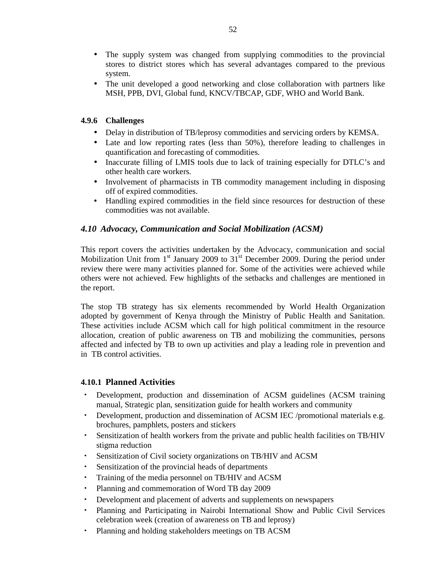- The supply system was changed from supplying commodities to the provincial stores to district stores which has several advantages compared to the previous system.
- The unit developed a good networking and close collaboration with partners like MSH, PPB, DVI, Global fund, KNCV/TBCAP, GDF, WHO and World Bank.

## **4.9.6 Challenges**

- Delay in distribution of TB/leprosy commodities and servicing orders by KEMSA.
- Late and low reporting rates (less than 50%), therefore leading to challenges in quantification and forecasting of commodities.
- Inaccurate filling of LMIS tools due to lack of training especially for DTLC's and other health care workers.
- Involvement of pharmacists in TB commodity management including in disposing off of expired commodities.
- Handling expired commodities in the field since resources for destruction of these commodities was not available.

## *4.10 Advocacy, Communication and Social Mobilization (ACSM)*

This report covers the activities undertaken by the Advocacy, communication and social Mobilization Unit from  $1<sup>st</sup>$  January 2009 to  $31<sup>st</sup>$  December 2009. During the period under review there were many activities planned for. Some of the activities were achieved while others were not achieved. Few highlights of the setbacks and challenges are mentioned in the report.

The stop TB strategy has six elements recommended by World Health Organization adopted by government of Kenya through the Ministry of Public Health and Sanitation. These activities include ACSM which call for high political commitment in the resource allocation, creation of public awareness on TB and mobilizing the communities, persons affected and infected by TB to own up activities and play a leading role in prevention and in TB control activities.

## **4.10.1 Planned Activities**

- Development, production and dissemination of ACSM guidelines (ACSM training manual, Strategic plan, sensitization guide for health workers and community
- Development, production and dissemination of ACSM IEC /promotional materials e.g. brochures, pamphlets, posters and stickers
- Sensitization of health workers from the private and public health facilities on TB/HIV stigma reduction
- Sensitization of Civil society organizations on TB/HIV and ACSM
- Sensitization of the provincial heads of departments
- Training of the media personnel on TB/HIV and ACSM
- Planning and commemoration of Word TB day 2009
- Development and placement of adverts and supplements on newspapers
- Planning and Participating in Nairobi International Show and Public Civil Services celebration week (creation of awareness on TB and leprosy)
- Planning and holding stakeholders meetings on TB ACSM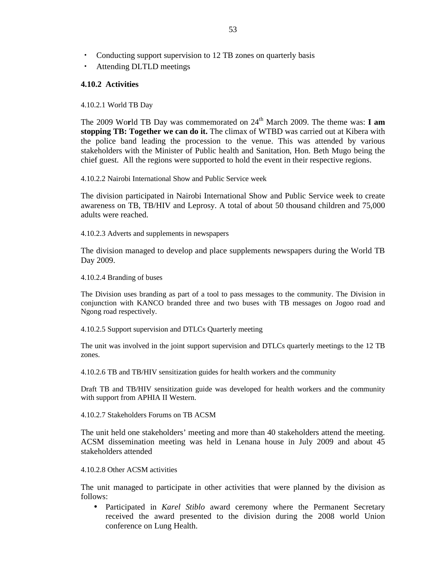- Conducting support supervision to 12 TB zones on quarterly basis
- Attending DLTLD meetings

### **4.10.2 Activities**

4.10.2.1 World TB Day

The 2009 World TB Day was commemorated on 24<sup>th</sup> March 2009. The theme was: **I am stopping TB: Together we can do it.** The climax of WTBD was carried out at Kibera with the police band leading the procession to the venue. This was attended by various stakeholders with the Minister of Public health and Sanitation, Hon. Beth Mugo being the chief guest. All the regions were supported to hold the event in their respective regions.

4.10.2.2 Nairobi International Show and Public Service week

The division participated in Nairobi International Show and Public Service week to create awareness on TB, TB/HIV and Leprosy. A total of about 50 thousand children and 75,000 adults were reached.

4.10.2.3 Adverts and supplements in newspapers

The division managed to develop and place supplements newspapers during the World TB Day 2009.

4.10.2.4 Branding of buses

The Division uses branding as part of a tool to pass messages to the community. The Division in conjunction with KANCO branded three and two buses with TB messages on Jogoo road and Ngong road respectively.

4.10.2.5 Support supervision and DTLCs Quarterly meeting

The unit was involved in the joint support supervision and DTLCs quarterly meetings to the 12 TB zones.

4.10.2.6 TB and TB/HIV sensitization guides for health workers and the community

Draft TB and TB/HIV sensitization guide was developed for health workers and the community with support from APHIA II Western.

4.10.2.7 Stakeholders Forums on TB ACSM

The unit held one stakeholders' meeting and more than 40 stakeholders attend the meeting. ACSM dissemination meeting was held in Lenana house in July 2009 and about 45 stakeholders attended

4.10.2.8 Other ACSM activities

The unit managed to participate in other activities that were planned by the division as follows:

• Participated in *Karel Stiblo* award ceremony where the Permanent Secretary received the award presented to the division during the 2008 world Union conference on Lung Health.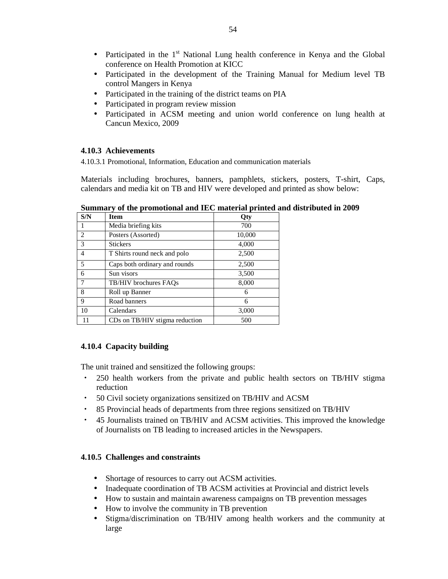- Participated in the  $1<sup>st</sup>$  National Lung health conference in Kenya and the Global conference on Health Promotion at KICC
- Participated in the development of the Training Manual for Medium level TB control Mangers in Kenya
- Participated in the training of the district teams on PIA
- Participated in program review mission
- Participated in ACSM meeting and union world conference on lung health at Cancun Mexico, 2009

### **4.10.3 Achievements**

4.10.3.1 Promotional, Information, Education and communication materials

Materials including brochures, banners, pamphlets, stickers, posters, T-shirt, Caps, calendars and media kit on TB and HIV were developed and printed as show below:

| S/N            | <b>Item</b>                    | Qty    |
|----------------|--------------------------------|--------|
| 1              | Media briefing kits            | 700    |
| $\overline{c}$ | Posters (Assorted)             | 10,000 |
| 3              | <b>Stickers</b>                | 4,000  |
| 4              | T Shirts round neck and polo   | 2,500  |
| 5              | Caps both ordinary and rounds  | 2,500  |
| 6              | Sun visors                     | 3,500  |
| 7              | TB/HIV brochures FAOs          | 8,000  |
| 8              | Roll up Banner                 | 6      |
| 9              | Road banners                   | 6      |
| 10             | Calendars                      | 3,000  |
|                | CDs on TB/HIV stigma reduction | 500    |

**Summary of the promotional and IEC material printed and distributed in 2009**

## **4.10.4 Capacity building**

The unit trained and sensitized the following groups:

- 250 health workers from the private and public health sectors on TB/HIV stigma reduction
- 50 Civil society organizations sensitized on TB/HIV and ACSM
- 85 Provincial heads of departments from three regions sensitized on TB/HIV
- 45 Journalists trained on TB/HIV and ACSM activities. This improved the knowledge of Journalists on TB leading to increased articles in the Newspapers.

## **4.10.5 Challenges and constraints**

- Shortage of resources to carry out ACSM activities.
- Inadequate coordination of TB ACSM activities at Provincial and district levels
- How to sustain and maintain awareness campaigns on TB prevention messages
- How to involve the community in TB prevention
- Stigma/discrimination on TB/HIV among health workers and the community at large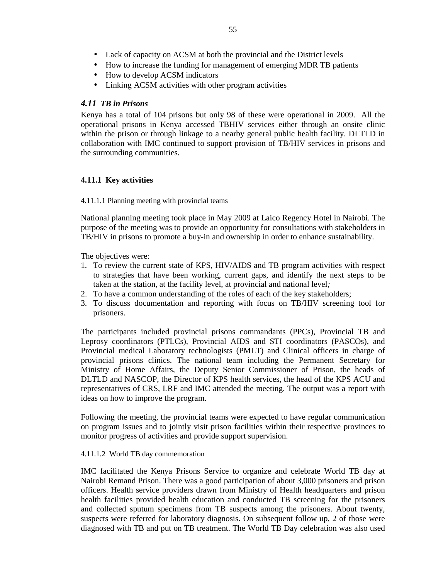- How to increase the funding for management of emerging MDR TB patients
- How to develop ACSM indicators
- Linking ACSM activities with other program activities

### *4.11 TB in Prisons*

Kenya has a total of 104 prisons but only 98 of these were operational in 2009. All the operational prisons in Kenya accessed TBHIV services either through an onsite clinic within the prison or through linkage to a nearby general public health facility. DLTLD in collaboration with IMC continued to support provision of TB/HIV services in prisons and the surrounding communities.

## **4.11.1 Key activities**

#### 4.11.1.1 Planning meeting with provincial teams

National planning meeting took place in May 2009 at Laico Regency Hotel in Nairobi. The purpose of the meeting was to provide an opportunity for consultations with stakeholders in TB/HIV in prisons to promote a buy-in and ownership in order to enhance sustainability.

The objectives were:

- 1. To review the current state of KPS, HIV/AIDS and TB program activities with respect to strategies that have been working, current gaps, and identify the next steps to be taken at the station, at the facility level, at provincial and national level*;*
- 2. To have a common understanding of the roles of each of the key stakeholders;
- 3. To discuss documentation and reporting with focus on TB/HIV screening tool for prisoners.

The participants included provincial prisons commandants (PPCs), Provincial TB and Leprosy coordinators (PTLCs), Provincial AIDS and STI coordinators (PASCOs), and Provincial medical Laboratory technologists (PMLT) and Clinical officers in charge of provincial prisons clinics. The national team including the Permanent Secretary for Ministry of Home Affairs, the Deputy Senior Commissioner of Prison, the heads of DLTLD and NASCOP, the Director of KPS health services, the head of the KPS ACU and representatives of CRS, LRF and IMC attended the meeting. The output was a report with ideas on how to improve the program.

Following the meeting, the provincial teams were expected to have regular communication on program issues and to jointly visit prison facilities within their respective provinces to monitor progress of activities and provide support supervision.

#### 4.11.1.2 World TB day commemoration

IMC facilitated the Kenya Prisons Service to organize and celebrate World TB day at Nairobi Remand Prison. There was a good participation of about 3,000 prisoners and prison officers. Health service providers drawn from Ministry of Health headquarters and prison health facilities provided health education and conducted TB screening for the prisoners and collected sputum specimens from TB suspects among the prisoners. About twenty, suspects were referred for laboratory diagnosis. On subsequent follow up, 2 of those were diagnosed with TB and put on TB treatment. The World TB Day celebration was also used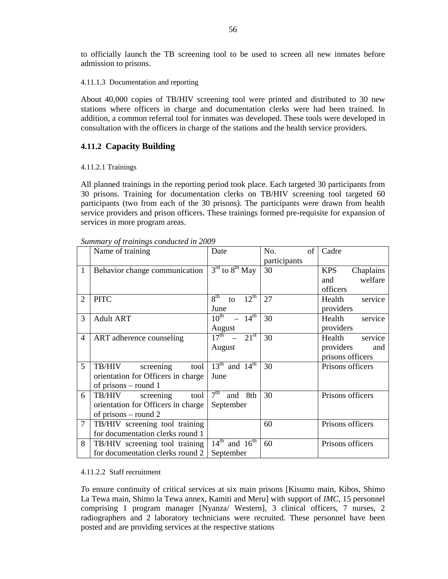to officially launch the TB screening tool to be used to screen all new inmates before admission to prisons.

4.11.1.3 Documentation and reporting

About 40,000 copies of TB/HIV screening tool were printed and distributed to 30 new stations where officers in charge and documentation clerks were had been trained. In addition, a common referral tool for inmates was developed. These tools were developed in consultation with the officers in charge of the stations and the health service providers.

## **4.11.2 Capacity Building**

### 4.11.2.1 Trainings

All planned trainings in the reporting period took place. Each targeted 30 participants from 30 prisons. Training for documentation clerks on TB/HIV screening tool targeted 60 participants (two from each of the 30 prisons). The participants were drawn from health service providers and prison officers. These trainings formed pre-requisite for expansion of services in more program areas.

|                | Name of training                   | Date                                      | of<br>No.    | Cadre                   |
|----------------|------------------------------------|-------------------------------------------|--------------|-------------------------|
|                |                                    |                                           | participants |                         |
| 1              | Behavior change communication      | $3rd$ to $8th$ May                        | 30           | <b>KPS</b><br>Chaplains |
|                |                                    |                                           |              | welfare<br>and          |
|                |                                    |                                           |              | officers                |
| 2              | <b>PITC</b>                        | 8 <sup>th</sup><br>$12^{\text{th}}$<br>to | 27           | service<br>Health       |
|                |                                    | June                                      |              | providers               |
| 3              | <b>Adult ART</b>                   | $10^{th}$ - $14^{th}$                     | 30           | Health<br>service       |
|                |                                    | August                                    |              | providers               |
| $\overline{4}$ | ART adherence counseling           | $17^{\text{th}} - 21^{\text{st}}$         | 30           | service<br>Health       |
|                |                                    | August                                    |              | providers<br>and        |
|                |                                    |                                           |              | prisons officers        |
| 5              | screening<br>tool<br>TB/HIV        | $13th$ and $14th$                         | 30           | Prisons officers        |
|                | orientation for Officers in charge | June                                      |              |                         |
|                | of prisons $-$ round 1             |                                           |              |                         |
| 6              | tool<br>TB/HIV<br>screening        | 7 <sup>th</sup><br>8th<br>and             | 30           | Prisons officers        |
|                | orientation for Officers in charge | September                                 |              |                         |
|                | of prisons – round 2               |                                           |              |                         |
| $\tau$         | TB/HIV screening tool training     |                                           | 60           | Prisons officers        |
|                | for documentation clerks round 1   |                                           |              |                         |
| 8              | TB/HIV screening tool training     | $14^{\text{th}}$ and $16^{\text{th}}$     | 60           | Prisons officers        |
|                | for documentation clerks round 2   | September                                 |              |                         |

*Summary of trainings conducted in 2009* 

### 4.11.2.2 Staff recruitment

*T*o ensure continuity of critical services at six main prisons [Kisumu main, Kibos, Shimo La Tewa main, Shimo la Tewa annex, Kamiti and Meru] with support of *IMC,* 15 personnel comprising 1 program manager [Nyanza/ Western], 3 clinical officers, 7 nurses, 2 radiographers and 2 laboratory technicians were recruited. These personnel have been posted and are providing services at the respective stations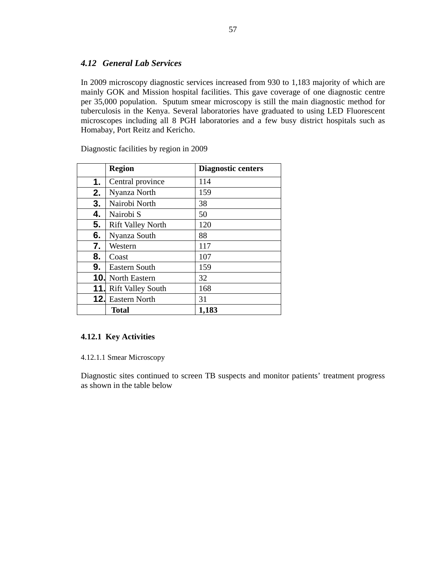## *4.12 General Lab Services*

In 2009 microscopy diagnostic services increased from 930 to 1,183 majority of which are mainly GOK and Mission hospital facilities. This gave coverage of one diagnostic centre per 35,000 population. Sputum smear microscopy is still the main diagnostic method for tuberculosis in the Kenya. Several laboratories have graduated to using LED Fluorescent microscopes including all 8 PGH laboratories and a few busy district hospitals such as Homabay, Port Reitz and Kericho.

|     | <b>Region</b>            | <b>Diagnostic centers</b> |
|-----|--------------------------|---------------------------|
| 1.  | Central province         | 114                       |
| 2.  | Nyanza North             | 159                       |
| 3.  | Nairobi North            | 38                        |
| 4.  | Nairobi S                | 50                        |
| 5.  | <b>Rift Valley North</b> | 120                       |
| 6.  | Nyanza South             | 88                        |
| 7.  | Western                  | 117                       |
| 8.  | Coast                    | 107                       |
| 9.  | Eastern South            | 159                       |
|     | <b>10.</b> North Eastern | 32                        |
| 11. | <b>Rift Valley South</b> | 168                       |
| 12. | <b>Eastern North</b>     | 31                        |
|     | <b>Total</b>             | 1,183                     |

Diagnostic facilities by region in 2009

## **4.12.1 Key Activities**

#### 4.12.1.1 Smear Microscopy

Diagnostic sites continued to screen TB suspects and monitor patients' treatment progress as shown in the table below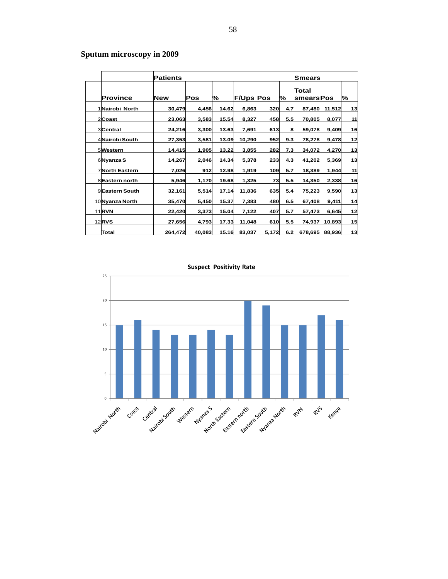# **Sputum microscopy in 2009**

|                       | <b>Patients</b> |        |       |                  |       |     | Smears                    |        |    |
|-----------------------|-----------------|--------|-------|------------------|-------|-----|---------------------------|--------|----|
| <b>Province</b>       | <b>New</b>      | Pos    | %     | <b>F/Ups Pos</b> |       | %   | Total<br><b>smearsPos</b> |        | %  |
| 1 Nairobi North       | 30,479          | 4,456  | 14.62 | 6,863            | 320   | 4.7 | 87,480                    | 11,512 | 13 |
| 2Coast                | 23,063          | 3,583  | 15.54 | 8,327            | 458   | 5.5 | 70,805                    | 8,077  | 11 |
| 3Central              | 24,216          | 3,300  | 13.63 | 7,691            | 613   | 8   | 59,078                    | 9,409  | 16 |
| 4 Nairobi South       | 27,353          | 3,581  | 13.09 | 10,290           | 952   | 9.3 | 78,278                    | 9,478  | 12 |
| 5Western              | 14,415          | 1,905  | 13.22 | 3,855            | 282   | 7.3 | 34,072                    | 4,270  | 13 |
| 6 Nyanza S            | 14,267          | 2,046  | 14.34 | 5,378            | 233   | 4.3 | 41,202                    | 5,369  | 13 |
| <b>7North Eastern</b> | 7,026           | 912    | 12.98 | 1,919            | 109   | 5.7 | 18,389                    | 1,944  | 11 |
| 8 Eastern north       | 5,946           | 1,170  | 19.68 | 1,325            | 73    | 5.5 | 14,350                    | 2,338  | 16 |
| 9Eastern South        | 32,161          | 5,514  | 17.14 | 11,836           | 635   | 5.4 | 75,223                    | 9,590  | 13 |
| 10 Nyanza North       | 35,470          | 5,450  | 15.37 | 7,383            | 480   | 6.5 | 67,408                    | 9,411  | 14 |
| <b>11 RVN</b>         | 22,420          | 3,373  | 15.04 | 7,122            | 407   | 5.7 | 57,473                    | 6,645  | 12 |
| <b>12RVS</b>          | 27,656          | 4,793  | 17.33 | 11,048           | 610   | 5.5 | 74,937                    | 10,893 | 15 |
| Total                 | 264,472         | 40,083 | 15.16 | 83,037           | 5,172 | 6.2 | 678,695                   | 88,936 | 13 |

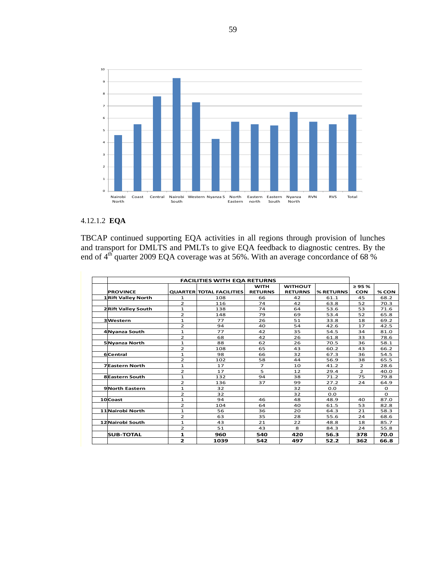

## 4.12.1.2 **EQA**

TBCAP continued supporting EQA activities in all regions through provision of lunches and transport for DMLTS and PMLTs to give EQA feedback to diagnostic centres. By the end of  $4<sup>th</sup>$  quarter 2009 EQA coverage was at 56%. With an average concordance of 68%

| <b>FACILITIES WITH EQA RETURNS</b> |                |                                 |                |                |           |                |          |
|------------------------------------|----------------|---------------------------------|----------------|----------------|-----------|----------------|----------|
|                                    |                |                                 | <b>WITH</b>    | <b>WITHOUT</b> |           | $\geq 95 \%$   |          |
| <b>PROVINCE</b>                    |                | <b>QUARTER TOTAL FACILITIES</b> | <b>RETURNS</b> | <b>RETURNS</b> | % RETURNS | <b>CON</b>     | % CON    |
| <b>1 Rift Valley North</b>         | 1              | 108                             | 66             | 42             | 61.1      | 45             | 68.2     |
|                                    | $\overline{2}$ | 116                             | 74             | 42             | 63.8      | 52             | 70.3     |
| <b>2 Rift Valley South</b>         | $\mathbf{1}$   | 138                             | 74             | 64             | 53.6      | 53             | 71.6     |
|                                    | $\overline{2}$ | 148                             | 79             | 69             | 53.4      | 52             | 65.8     |
| 3Western                           | $\mathbf{1}$   | 77                              | 26             | 51             | 33.8      | 18             | 69.2     |
|                                    | $\overline{2}$ | 94                              | 40             | 54             | 42.6      | 17             | 42.5     |
| 4 Nyanza South                     | $\mathbf{1}$   | 77                              | 42             | 35             | 54.5      | 34             | 81.0     |
|                                    | $\overline{2}$ | 68                              | 42             | 26             | 61.8      | 33             | 78.6     |
| 5 Nyanza North                     | $\mathbf{1}$   | 88                              | 62             | 26             | 70.5      | 36             | 58.1     |
|                                    | $\overline{2}$ | 108                             | 65             | 43             | 60.2      | 43             | 66.2     |
| 6Central                           | $\mathbf{1}$   | 98                              | 66             | 32             | 67.3      | 36             | 54.5     |
|                                    | $\overline{2}$ | 102                             | 58             | 44             | 56.9      | 38             | 65.5     |
| <b>7Eastern North</b>              | 1              | 17                              | $\overline{7}$ | 10             | 41.2      | $\overline{2}$ | 28.6     |
|                                    | $\overline{2}$ | 17                              | 5              | 12             | 29.4      | $\overline{2}$ | 40.0     |
| <b>8Eastern South</b>              | $\mathbf{1}$   | 132                             | 94             | 38             | 71.2      | 75             | 79.8     |
|                                    | $\overline{2}$ | 136                             | 37             | 99             | 27.2      | 24             | 64.9     |
| 9North Eastern                     | $\mathbf{1}$   | 32                              |                | 32             | 0.0       |                | $\circ$  |
|                                    | $\overline{2}$ | 32                              |                | 32             | 0.0       |                | $\Omega$ |
| 10Coast                            | $\mathbf{1}$   | 94                              | 46             | 48             | 48.9      | 40             | 87.0     |
|                                    | $\overline{2}$ | 104                             | 64             | 40             | 61.5      | 53             | 82.8     |
| 11 Nairobi North                   | 1              | 56                              | 36             | 20             | 64.3      | 21             | 58.3     |
|                                    | $\overline{2}$ | 63                              | 35             | 28             | 55.6      | 24             | 68.6     |
| 12 Nairobi South                   | $\mathbf{1}$   | 43                              | 21             | 22             | 48.8      | 18             | 85.7     |
|                                    | $\overline{2}$ | 51                              | 43             | 8              | 84.3      | 24             | 55.8     |
| <b>SUB-TOTAL</b>                   | 1              | 960                             | 540            | 420            | 56.3      | 378            | 70.0     |
|                                    | $\mathbf{z}$   | 1039                            | 542            | 497            | 52.2      | 362            | 66.8     |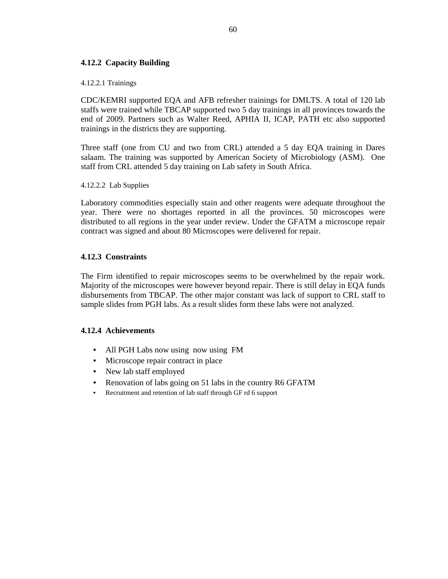## **4.12.2 Capacity Building**

#### 4.12.2.1 Trainings

CDC/KEMRI supported EQA and AFB refresher trainings for DMLTS. A total of 120 lab staffs were trained while TBCAP supported two 5 day trainings in all provinces towards the end of 2009. Partners such as Walter Reed, APHIA II, ICAP, PATH etc also supported trainings in the districts they are supporting.

Three staff (one from CU and two from CRL) attended a 5 day EQA training in Dares salaam. The training was supported by American Society of Microbiology (ASM). One staff from CRL attended 5 day training on Lab safety in South Africa.

4.12.2.2 Lab Supplies

Laboratory commodities especially stain and other reagents were adequate throughout the year. There were no shortages reported in all the provinces. 50 microscopes were distributed to all regions in the year under review. Under the GFATM a microscope repair contract was signed and about 80 Microscopes were delivered for repair.

### **4.12.3 Constraints**

The Firm identified to repair microscopes seems to be overwhelmed by the repair work. Majority of the microscopes were however beyond repair. There is still delay in EQA funds disbursements from TBCAP. The other major constant was lack of support to CRL staff to sample slides from PGH labs. As a result slides form these labs were not analyzed.

### **4.12.4 Achievements**

- All PGH Labs now using now using FM
- Microscope repair contract in place
- New lab staff employed
- Renovation of labs going on 51 labs in the country R6 GFATM
- Recruitment and retention of lab staff through GF rd 6 support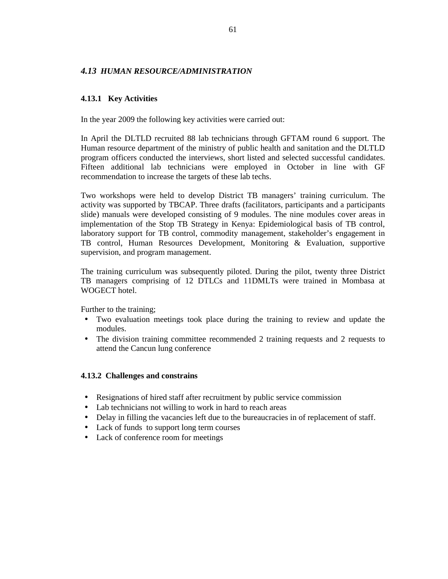### *4.13 HUMAN RESOURCE/ADMINISTRATION*

### **4.13.1 Key Activities**

In the year 2009 the following key activities were carried out:

In April the DLTLD recruited 88 lab technicians through GFTAM round 6 support. The Human resource department of the ministry of public health and sanitation and the DLTLD program officers conducted the interviews, short listed and selected successful candidates. Fifteen additional lab technicians were employed in October in line with GF recommendation to increase the targets of these lab techs.

Two workshops were held to develop District TB managers' training curriculum. The activity was supported by TBCAP. Three drafts (facilitators, participants and a participants slide) manuals were developed consisting of 9 modules. The nine modules cover areas in implementation of the Stop TB Strategy in Kenya: Epidemiological basis of TB control, laboratory support for TB control, commodity management, stakeholder's engagement in TB control, Human Resources Development, Monitoring & Evaluation, supportive supervision, and program management.

The training curriculum was subsequently piloted. During the pilot, twenty three District TB managers comprising of 12 DTLCs and 11DMLTs were trained in Mombasa at WOGECT hotel

Further to the training;

- Two evaluation meetings took place during the training to review and update the modules.
- The division training committee recommended 2 training requests and 2 requests to attend the Cancun lung conference

### **4.13.2 Challenges and constrains**

- Resignations of hired staff after recruitment by public service commission
- Lab technicians not willing to work in hard to reach areas
- Delay in filling the vacancies left due to the bureaucracies in of replacement of staff.
- Lack of funds to support long term courses
- Lack of conference room for meetings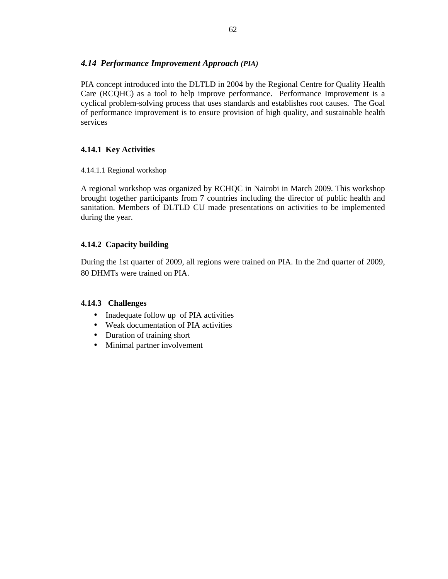## *4.14 Performance Improvement Approach (PIA)*

PIA concept introduced into the DLTLD in 2004 by the Regional Centre for Quality Health Care (RCQHC) as a tool to help improve performance. Performance Improvement is a cyclical problem-solving process that uses standards and establishes root causes. The Goal of performance improvement is to ensure provision of high quality, and sustainable health services

## **4.14.1 Key Activities**

4.14.1.1 Regional workshop

A regional workshop was organized by RCHQC in Nairobi in March 2009. This workshop brought together participants from 7 countries including the director of public health and sanitation. Members of DLTLD CU made presentations on activities to be implemented during the year.

## **4.14.2 Capacity building**

During the 1st quarter of 2009, all regions were trained on PIA. In the 2nd quarter of 2009, 80 DHMTs were trained on PIA.

## **4.14.3 Challenges**

- Inadequate follow up of PIA activities
- Weak documentation of PIA activities
- Duration of training short
- Minimal partner involvement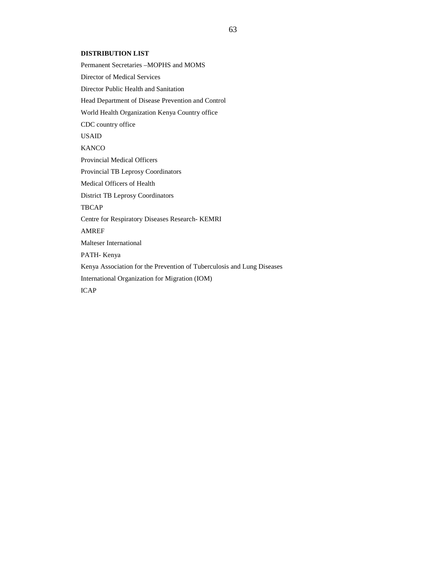#### **DISTRIBUTION LIST**

Permanent Secretaries –MOPHS and MOMS Director of Medical Services Director Public Health and Sanitation Head Department of Disease Prevention and Control World Health Organization Kenya Country office CDC country office USAID **KANCO** Provincial Medical Officers Provincial TB Leprosy Coordinators Medical Officers of Health District TB Leprosy Coordinators **TBCAP** Centre for Respiratory Diseases Research- KEMRI AMREF Malteser International PATH- Kenya Kenya Association for the Prevention of Tuberculosis and Lung Diseases International Organization for Migration (IOM) ICAP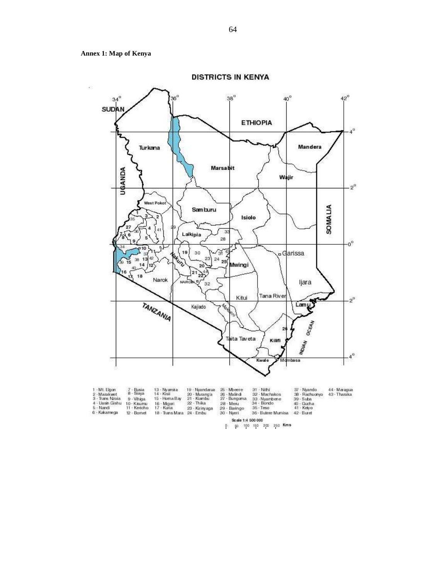**Annex 1: Map of Kenya** 



1 - Mt. Eigen<br>2 - Marakwet<br>3 - Trans Nzoia<br>4 - Uasin Gishu<br>5 - Nandi 13 - Nyamira<br>14 - Kisii<br>15 - Homa Bay 19 - Nyandarua<br>20 - Murang'a<br>21 - Kiambu<br>22 - Thika<br>23 - Kirinyaga<br>24 - Embu 26 - Mbeere<br>26 - Malind<br>27 - Bungoma<br>28 - Menu<br>29 - Baringo<br>30 - Nyeri 37 - Nyando 44 - Maragua<br>38 - Rachuonyo 43 - Tharaka<br>40 - Sucha<br>41 - Keiyo a - Staya<br>9 - Vihiga<br>10 - Kisumu<br>11 - Kericho 33 - Nyambene<br>34 - Bondo<br>36 - Teso 16 - Migori<br>17 - Kuria 6 - Kakamega 12 - Bornet 18 - Trans Mara 36 - Butere Mumisa 42 - Buret Scale 1:4 500 000

0 50 100 150 200 250 Kms

**DISTRICTS IN KENYA**